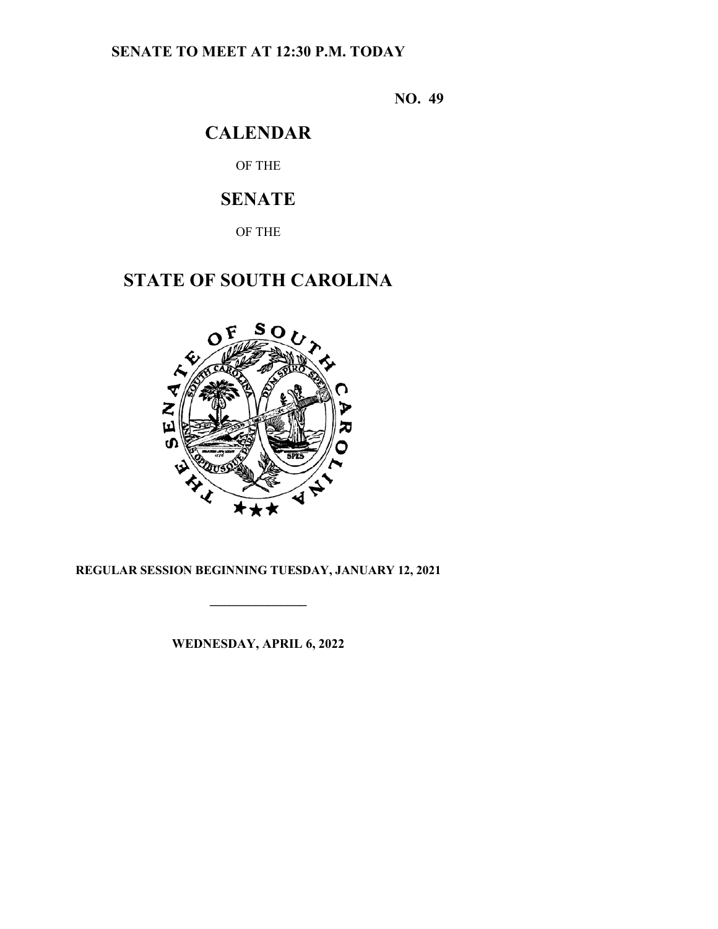# **SENATE TO MEET AT 12:30 P.M. TODAY**

**NO. 49**

# **CALENDAR**

OF THE

# **SENATE**

OF THE

# **STATE OF SOUTH CAROLINA**



# **REGULAR SESSION BEGINNING TUESDAY, JANUARY 12, 2021**

**\_\_\_\_\_\_\_\_\_\_\_\_\_\_\_**

**WEDNESDAY, APRIL 6, 2022**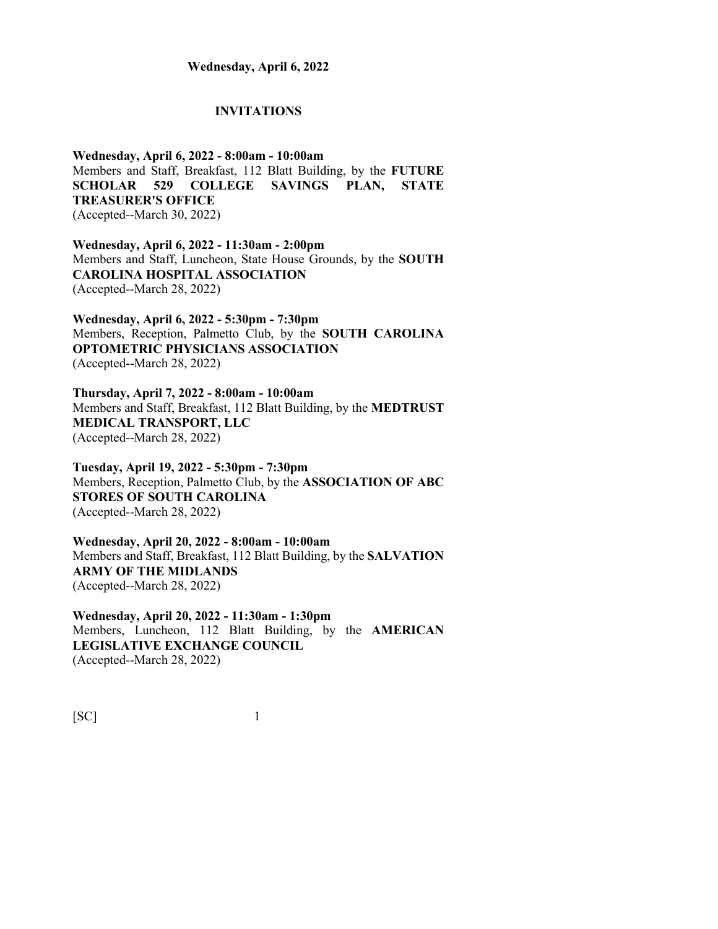#### **INVITATIONS**

**Wednesday, April 6, 2022 - 8:00am - 10:00am** Members and Staff, Breakfast, 112 Blatt Building, by the **FUTURE SCHOLAR 529 COLLEGE SAVINGS PLAN, STATE TREASURER'S OFFICE** (Accepted--March 30, 2022)

**Wednesday, April 6, 2022 - 11:30am - 2:00pm** Members and Staff, Luncheon, State House Grounds, by the **SOUTH CAROLINA HOSPITAL ASSOCIATION** (Accepted--March 28, 2022)

**Wednesday, April 6, 2022 - 5:30pm - 7:30pm** Members, Reception, Palmetto Club, by the **SOUTH CAROLINA OPTOMETRIC PHYSICIANS ASSOCIATION** (Accepted--March 28, 2022)

**Thursday, April 7, 2022 - 8:00am - 10:00am** Members and Staff, Breakfast, 112 Blatt Building, by the **MEDTRUST MEDICAL TRANSPORT, LLC** (Accepted--March 28, 2022)

**Tuesday, April 19, 2022 - 5:30pm - 7:30pm** Members, Reception, Palmetto Club, by the **ASSOCIATION OF ABC STORES OF SOUTH CAROLINA** (Accepted--March 28, 2022)

**Wednesday, April 20, 2022 - 8:00am - 10:00am** Members and Staff, Breakfast, 112 Blatt Building, by the **SALVATION ARMY OF THE MIDLANDS** (Accepted--March 28, 2022)

**Wednesday, April 20, 2022 - 11:30am - 1:30pm** Members, Luncheon, 112 Blatt Building, by the **AMERICAN LEGISLATIVE EXCHANGE COUNCIL** (Accepted--March 28, 2022)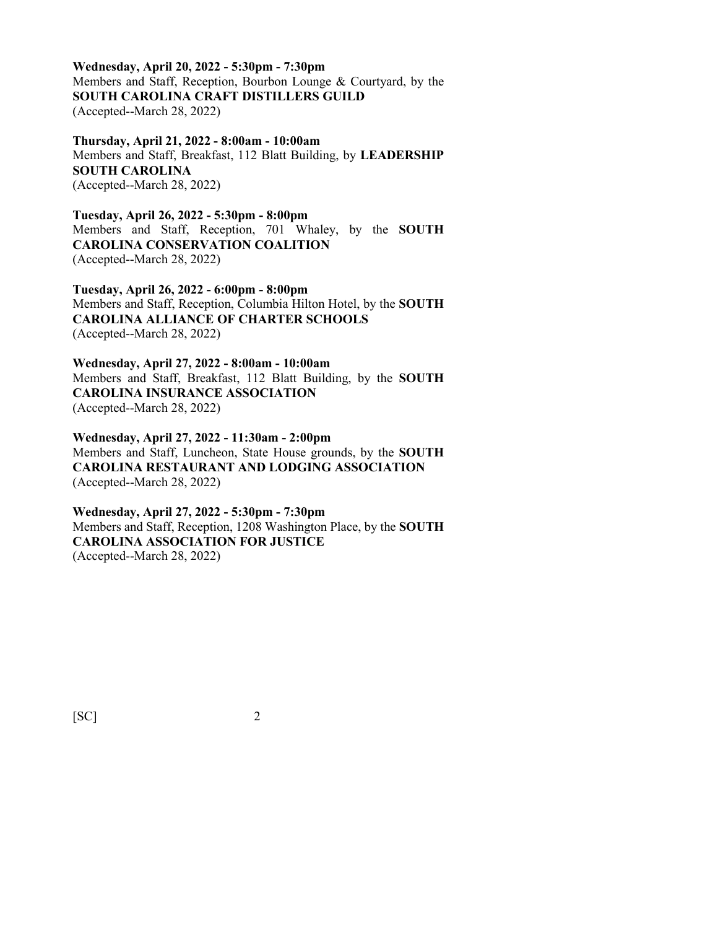**Wednesday, April 20, 2022 - 5:30pm - 7:30pm** Members and Staff, Reception, Bourbon Lounge & Courtyard, by the **SOUTH CAROLINA CRAFT DISTILLERS GUILD** (Accepted--March 28, 2022)

**Thursday, April 21, 2022 - 8:00am - 10:00am** Members and Staff, Breakfast, 112 Blatt Building, by **LEADERSHIP SOUTH CAROLINA** (Accepted--March 28, 2022)

**Tuesday, April 26, 2022 - 5:30pm - 8:00pm** Members and Staff, Reception, 701 Whaley, by the **SOUTH CAROLINA CONSERVATION COALITION** (Accepted--March 28, 2022)

**Tuesday, April 26, 2022 - 6:00pm - 8:00pm** Members and Staff, Reception, Columbia Hilton Hotel, by the **SOUTH CAROLINA ALLIANCE OF CHARTER SCHOOLS** (Accepted--March 28, 2022)

**Wednesday, April 27, 2022 - 8:00am - 10:00am** Members and Staff, Breakfast, 112 Blatt Building, by the **SOUTH CAROLINA INSURANCE ASSOCIATION** (Accepted--March 28, 2022)

**Wednesday, April 27, 2022 - 11:30am - 2:00pm** Members and Staff, Luncheon, State House grounds, by the **SOUTH CAROLINA RESTAURANT AND LODGING ASSOCIATION** (Accepted--March 28, 2022)

**Wednesday, April 27, 2022 - 5:30pm - 7:30pm** Members and Staff, Reception, 1208 Washington Place, by the **SOUTH CAROLINA ASSOCIATION FOR JUSTICE** (Accepted--March 28, 2022)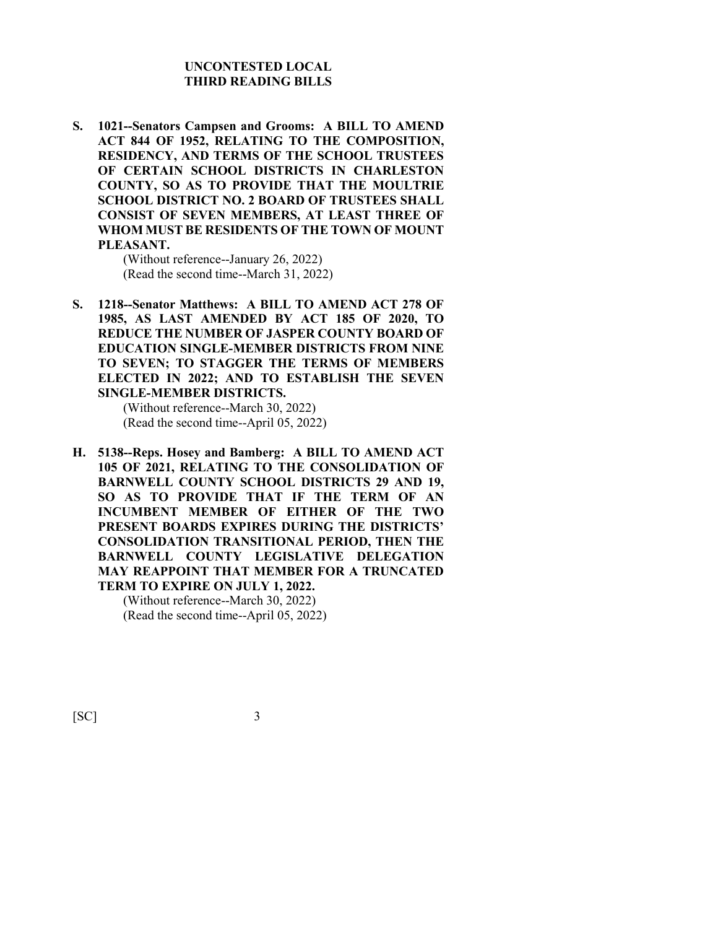## **UNCONTESTED LOCAL THIRD READING BILLS**

**S. 1021--Senators Campsen and Grooms: A BILL TO AMEND ACT 844 OF 1952, RELATING TO THE COMPOSITION, RESIDENCY, AND TERMS OF THE SCHOOL TRUSTEES OF CERTAIN SCHOOL DISTRICTS IN CHARLESTON COUNTY, SO AS TO PROVIDE THAT THE MOULTRIE SCHOOL DISTRICT NO. 2 BOARD OF TRUSTEES SHALL CONSIST OF SEVEN MEMBERS, AT LEAST THREE OF WHOM MUST BE RESIDENTS OF THE TOWN OF MOUNT PLEASANT.**

> (Without reference--January 26, 2022) (Read the second time--March 31, 2022)

**S. 1218--Senator Matthews: A BILL TO AMEND ACT 278 OF 1985, AS LAST AMENDED BY ACT 185 OF 2020, TO REDUCE THE NUMBER OF JASPER COUNTY BOARD OF EDUCATION SINGLE-MEMBER DISTRICTS FROM NINE TO SEVEN; TO STAGGER THE TERMS OF MEMBERS ELECTED IN 2022; AND TO ESTABLISH THE SEVEN SINGLE-MEMBER DISTRICTS.**

> (Without reference--March 30, 2022) (Read the second time--April 05, 2022)

**H. 5138--Reps. Hosey and Bamberg: A BILL TO AMEND ACT 105 OF 2021, RELATING TO THE CONSOLIDATION OF BARNWELL COUNTY SCHOOL DISTRICTS 29 AND 19, SO AS TO PROVIDE THAT IF THE TERM OF AN INCUMBENT MEMBER OF EITHER OF THE TWO PRESENT BOARDS EXPIRES DURING THE DISTRICTS' CONSOLIDATION TRANSITIONAL PERIOD, THEN THE BARNWELL COUNTY LEGISLATIVE DELEGATION MAY REAPPOINT THAT MEMBER FOR A TRUNCATED TERM TO EXPIRE ON JULY 1, 2022.**

> (Without reference--March 30, 2022) (Read the second time--April 05, 2022)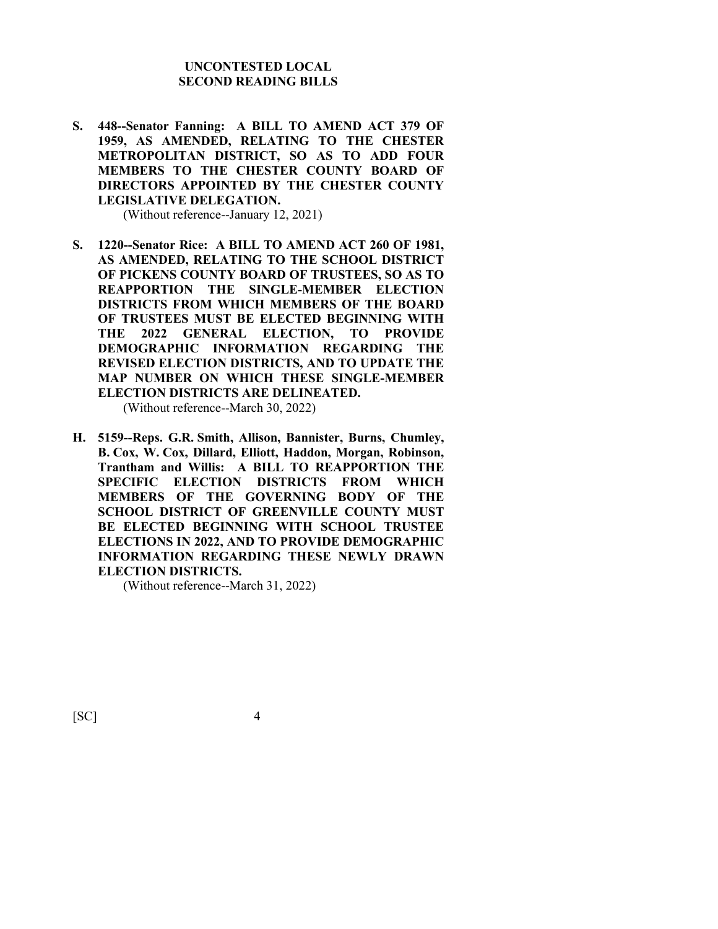## **UNCONTESTED LOCAL SECOND READING BILLS**

**S. 448--Senator Fanning: A BILL TO AMEND ACT 379 OF 1959, AS AMENDED, RELATING TO THE CHESTER METROPOLITAN DISTRICT, SO AS TO ADD FOUR MEMBERS TO THE CHESTER COUNTY BOARD OF DIRECTORS APPOINTED BY THE CHESTER COUNTY LEGISLATIVE DELEGATION.**

(Without reference--January 12, 2021)

- **S. 1220--Senator Rice: A BILL TO AMEND ACT 260 OF 1981, AS AMENDED, RELATING TO THE SCHOOL DISTRICT OF PICKENS COUNTY BOARD OF TRUSTEES, SO AS TO REAPPORTION THE SINGLE-MEMBER ELECTION DISTRICTS FROM WHICH MEMBERS OF THE BOARD OF TRUSTEES MUST BE ELECTED BEGINNING WITH THE 2022 GENERAL ELECTION, TO PROVIDE DEMOGRAPHIC INFORMATION REGARDING THE REVISED ELECTION DISTRICTS, AND TO UPDATE THE MAP NUMBER ON WHICH THESE SINGLE-MEMBER ELECTION DISTRICTS ARE DELINEATED.** (Without reference--March 30, 2022)
- **H. 5159--Reps. G.R. Smith, Allison, Bannister, Burns, Chumley, B. Cox, W. Cox, Dillard, Elliott, Haddon, Morgan, Robinson, Trantham and Willis: A BILL TO REAPPORTION THE SPECIFIC ELECTION DISTRICTS FROM WHICH MEMBERS OF THE GOVERNING BODY OF THE SCHOOL DISTRICT OF GREENVILLE COUNTY MUST BE ELECTED BEGINNING WITH SCHOOL TRUSTEE ELECTIONS IN 2022, AND TO PROVIDE DEMOGRAPHIC INFORMATION REGARDING THESE NEWLY DRAWN ELECTION DISTRICTS.**

(Without reference--March 31, 2022)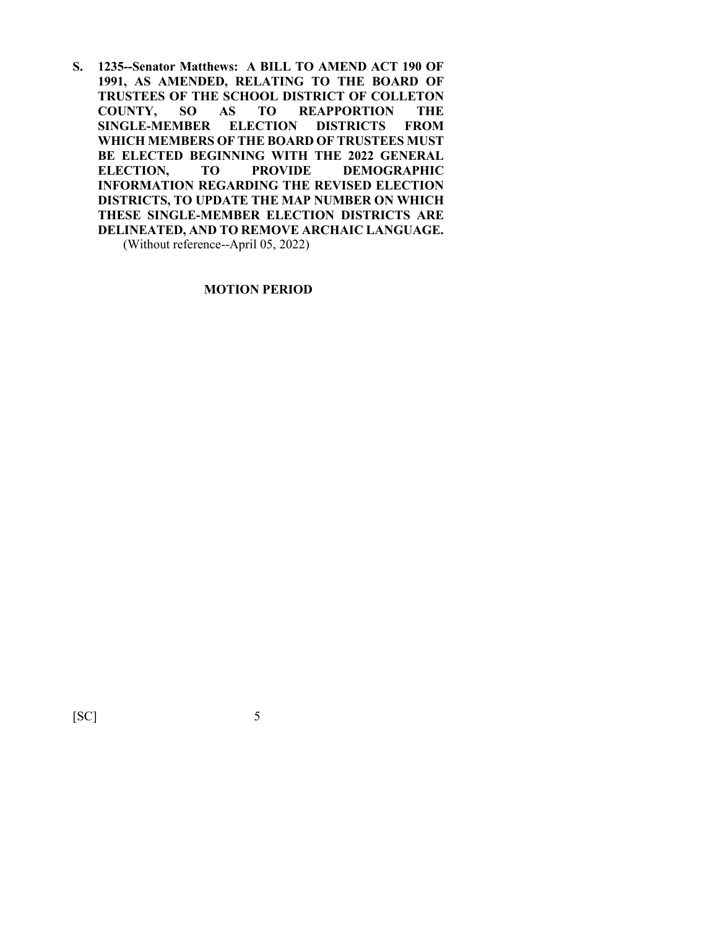**S. 1235--Senator Matthews: A BILL TO AMEND ACT 190 OF 1991, AS AMENDED, RELATING TO THE BOARD OF TRUSTEES OF THE SCHOOL DISTRICT OF COLLETON COUNTY AS TO REAPPORTION SINGLE-MEMBER ELECTION DISTRICTS FROM WHICH MEMBERS OF THE BOARD OF TRUSTEES MUST BE ELECTED BEGINNING WITH THE 2022 GENERAL ELECTION, TO PROVIDE DEMOGRAPHIC INFORMATION REGARDING THE REVISED ELECTION DISTRICTS, TO UPDATE THE MAP NUMBER ON WHICH THESE SINGLE-MEMBER ELECTION DISTRICTS ARE DELINEATED, AND TO REMOVE ARCHAIC LANGUAGE.**

(Without reference--April 05, 2022)

## **MOTION PERIOD**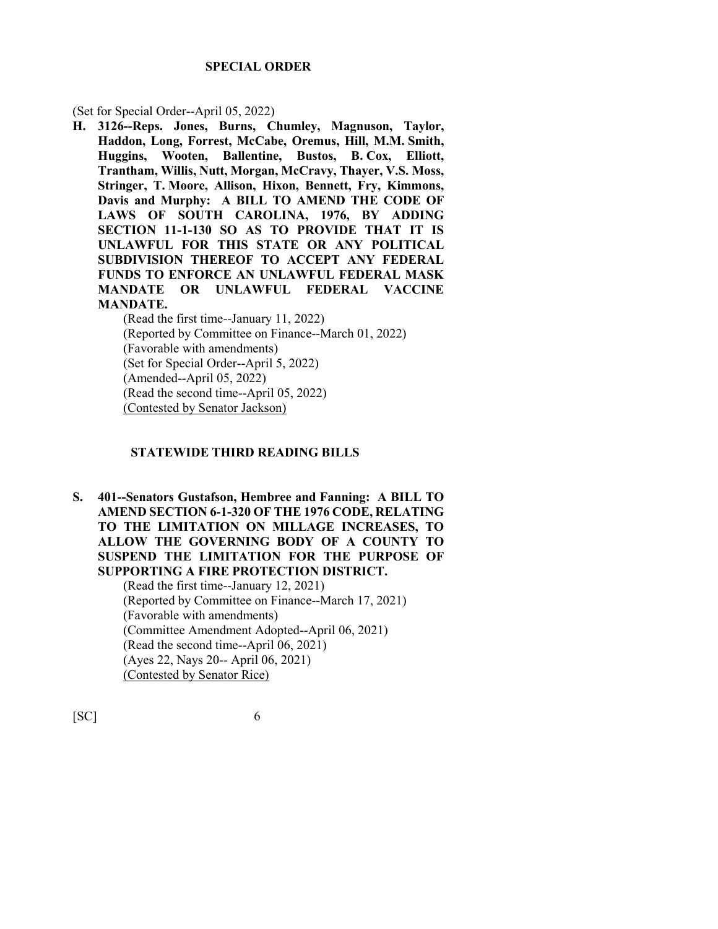#### **SPECIAL ORDER**

(Set for Special Order--April 05, 2022)

**H. 3126--Reps. Jones, Burns, Chumley, Magnuson, Taylor, Haddon, Long, Forrest, McCabe, Oremus, Hill, M.M. Smith, Huggins, Wooten, Ballentine, Bustos, B. Cox, Elliott, Trantham, Willis, Nutt, Morgan, McCravy, Thayer, V.S. Moss, Stringer, T. Moore, Allison, Hixon, Bennett, Fry, Kimmons, Davis and Murphy: A BILL TO AMEND THE CODE OF LAWS OF SOUTH CAROLINA, 1976, BY ADDING SECTION 11-1-130 SO AS TO PROVIDE THAT IT IS UNLAWFUL FOR THIS STATE OR ANY POLITICAL SUBDIVISION THEREOF TO ACCEPT ANY FEDERAL FUNDS TO ENFORCE AN UNLAWFUL FEDERAL MASK MANDATE OR UNLAWFUL FEDERAL VACCINE MANDATE.**

(Read the first time--January 11, 2022) (Reported by Committee on Finance--March 01, 2022) (Favorable with amendments) (Set for Special Order--April 5, 2022) (Amended--April 05, 2022) (Read the second time--April 05, 2022) (Contested by Senator Jackson)

## **STATEWIDE THIRD READING BILLS**

**S. 401--Senators Gustafson, Hembree and Fanning: A BILL TO AMEND SECTION 6-1-320 OF THE 1976 CODE, RELATING TO THE LIMITATION ON MILLAGE INCREASES, TO ALLOW THE GOVERNING BODY OF A COUNTY TO SUSPEND THE LIMITATION FOR THE PURPOSE OF SUPPORTING A FIRE PROTECTION DISTRICT.**

(Read the first time--January 12, 2021) (Reported by Committee on Finance--March 17, 2021) (Favorable with amendments) (Committee Amendment Adopted--April 06, 2021) (Read the second time--April 06, 2021) (Ayes 22, Nays 20-- April 06, 2021) (Contested by Senator Rice)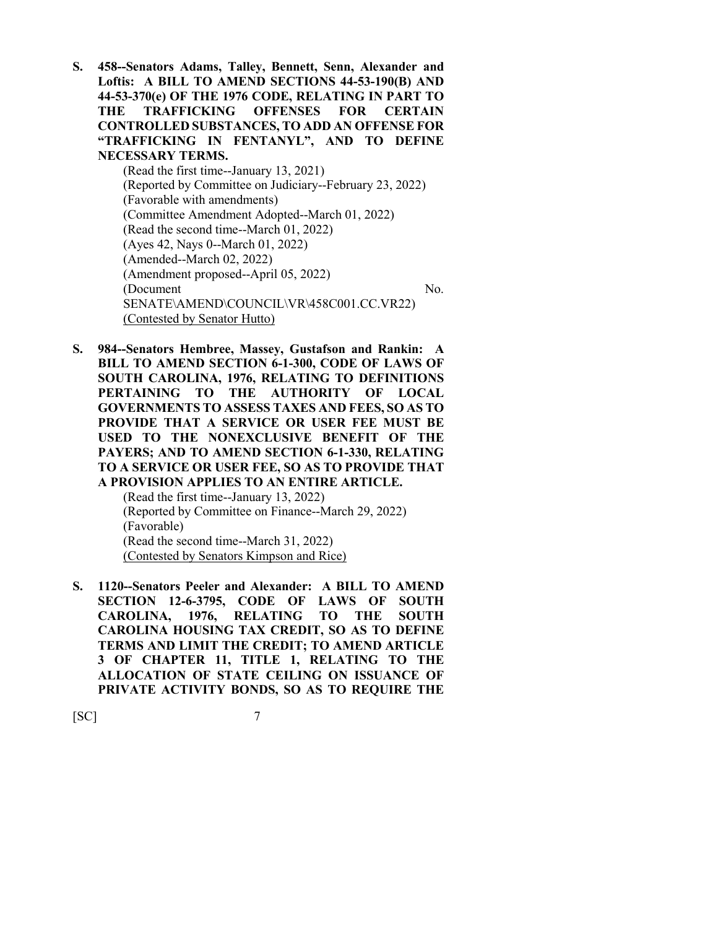**S. 458--Senators Adams, Talley, Bennett, Senn, Alexander and Loftis: A BILL TO AMEND SECTIONS 44-53-190(B) AND 44-53-370(e) OF THE 1976 CODE, RELATING IN PART TO THE TRAFFICKING OFFENSES FOR CERTAIN CONTROLLED SUBSTANCES, TO ADD AN OFFENSE FOR "TRAFFICKING IN FENTANYL", AND TO DEFINE NECESSARY TERMS.**

(Read the first time--January 13, 2021) (Reported by Committee on Judiciary--February 23, 2022) (Favorable with amendments) (Committee Amendment Adopted--March 01, 2022) (Read the second time--March 01, 2022) (Ayes 42, Nays 0--March 01, 2022) (Amended--March 02, 2022) (Amendment proposed--April 05, 2022) (Document No. SENATE\AMEND\COUNCIL\VR\458C001.CC.VR22) (Contested by Senator Hutto)

**S. 984--Senators Hembree, Massey, Gustafson and Rankin: A BILL TO AMEND SECTION 6-1-300, CODE OF LAWS OF SOUTH CAROLINA, 1976, RELATING TO DEFINITIONS PERTAINING TO THE AUTHORITY OF LOCAL GOVERNMENTS TO ASSESS TAXES AND FEES, SO AS TO PROVIDE THAT A SERVICE OR USER FEE MUST BE USED TO THE NONEXCLUSIVE BENEFIT OF THE PAYERS; AND TO AMEND SECTION 6-1-330, RELATING TO A SERVICE OR USER FEE, SO AS TO PROVIDE THAT A PROVISION APPLIES TO AN ENTIRE ARTICLE.**

(Read the first time--January 13, 2022) (Reported by Committee on Finance--March 29, 2022) (Favorable) (Read the second time--March 31, 2022) (Contested by Senators Kimpson and Rice)

**S. 1120--Senators Peeler and Alexander: A BILL TO AMEND SECTION 12-6-3795, CODE OF LAWS OF SOUTH CAROLINA, 1976, RELATING TO THE SOUTH CAROLINA HOUSING TAX CREDIT, SO AS TO DEFINE TERMS AND LIMIT THE CREDIT; TO AMEND ARTICLE 3 OF CHAPTER 11, TITLE 1, RELATING TO THE ALLOCATION OF STATE CEILING ON ISSUANCE OF PRIVATE ACTIVITY BONDS, SO AS TO REQUIRE THE**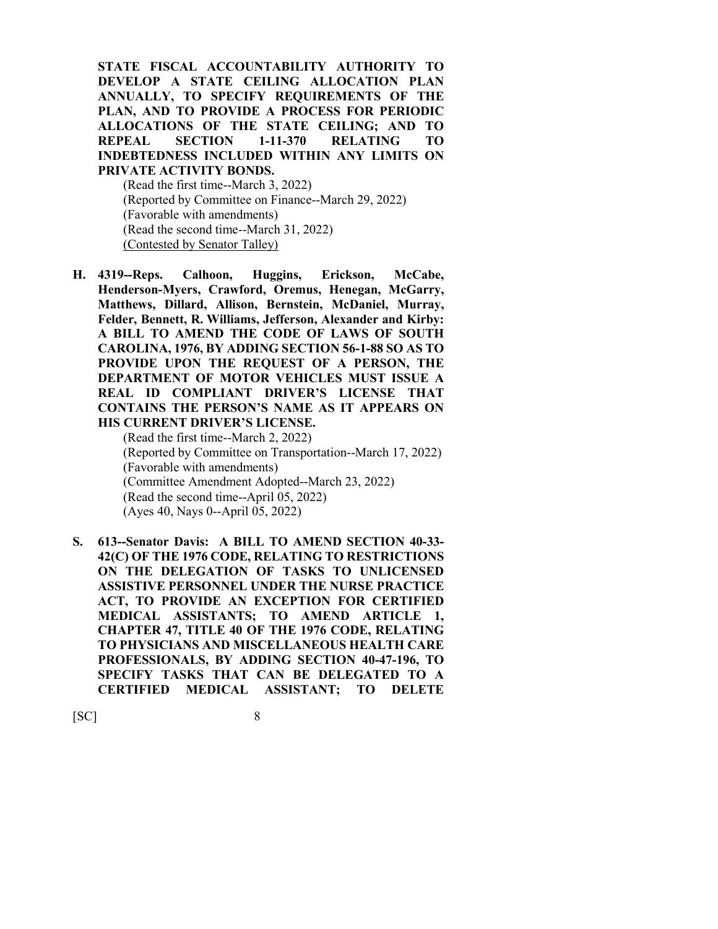**STATE FISCAL ACCOUNTABILITY AUTHORITY TO DEVELOP A STATE CEILING ALLOCATION PLAN ANNUALLY, TO SPECIFY REQUIREMENTS OF THE PLAN, AND TO PROVIDE A PROCESS FOR PERIODIC ALLOCATIONS OF THE STATE CEILING; AND TO REPEAL SECTION 1-11-370 RELATING TO INDEBTEDNESS INCLUDED WITHIN ANY LIMITS ON PRIVATE ACTIVITY BONDS.**

(Read the first time--March 3, 2022) (Reported by Committee on Finance--March 29, 2022) (Favorable with amendments) (Read the second time--March 31, 2022) (Contested by Senator Talley)

**H. 4319--Reps. Calhoon, Huggins, Erickson, McCabe, Henderson-Myers, Crawford, Oremus, Henegan, McGarry, Matthews, Dillard, Allison, Bernstein, McDaniel, Murray, Felder, Bennett, R. Williams, Jefferson, Alexander and Kirby: A BILL TO AMEND THE CODE OF LAWS OF SOUTH CAROLINA, 1976, BY ADDING SECTION 56-1-88 SO AS TO PROVIDE UPON THE REQUEST OF A PERSON, THE DEPARTMENT OF MOTOR VEHICLES MUST ISSUE A REAL ID COMPLIANT DRIVER'S LICENSE THAT CONTAINS THE PERSON'S NAME AS IT APPEARS ON HIS CURRENT DRIVER'S LICENSE.**

> (Read the first time--March 2, 2022) (Reported by Committee on Transportation--March 17, 2022) (Favorable with amendments) (Committee Amendment Adopted--March 23, 2022) (Read the second time--April 05, 2022) (Ayes 40, Nays 0--April 05, 2022)

**S. 613--Senator Davis: A BILL TO AMEND SECTION 40-33- 42(C) OF THE 1976 CODE, RELATING TO RESTRICTIONS ON THE DELEGATION OF TASKS TO UNLICENSED ASSISTIVE PERSONNEL UNDER THE NURSE PRACTICE ACT, TO PROVIDE AN EXCEPTION FOR CERTIFIED MEDICAL ASSISTANTS; TO AMEND ARTICLE 1, CHAPTER 47, TITLE 40 OF THE 1976 CODE, RELATING TO PHYSICIANS AND MISCELLANEOUS HEALTH CARE PROFESSIONALS, BY ADDING SECTION 40-47-196, TO SPECIFY TASKS THAT CAN BE DELEGATED TO A CERTIFIED MEDICAL ASSISTANT; TO DELETE**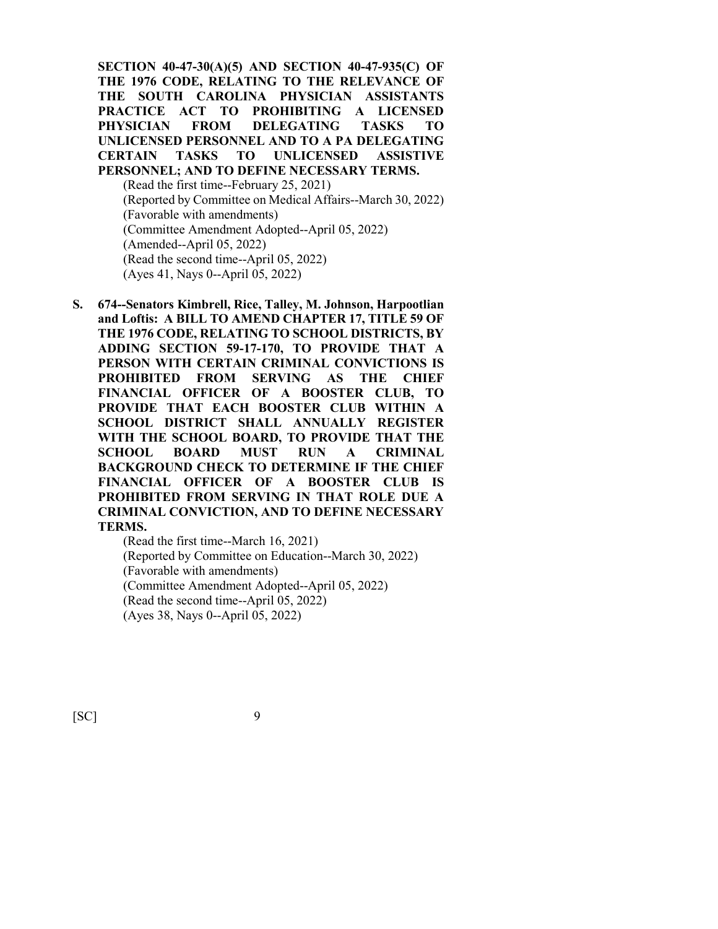**SECTION 40-47-30(A)(5) AND SECTION 40-47-935(C) OF THE 1976 CODE, RELATING TO THE RELEVANCE OF THE SOUTH CAROLINA PHYSICIAN ASSISTANTS PRACTICE ACT TO PROHIBITING A LICENSED PHYSICIAN FROM DELEGATING TASKS TO UNLICENSED PERSONNEL AND TO A PA DELEGATING CERTAIN TASKS TO UNLICENSED ASSISTIVE PERSONNEL; AND TO DEFINE NECESSARY TERMS.** (Read the first time--February 25, 2021) (Reported by Committee on Medical Affairs--March 30, 2022) (Favorable with amendments) (Committee Amendment Adopted--April 05, 2022) (Amended--April 05, 2022) (Read the second time--April 05, 2022) (Ayes 41, Nays 0--April 05, 2022)

**S. 674--Senators Kimbrell, Rice, Talley, M. Johnson, Harpootlian and Loftis: A BILL TO AMEND CHAPTER 17, TITLE 59 OF THE 1976 CODE, RELATING TO SCHOOL DISTRICTS, BY ADDING SECTION 59-17-170, TO PROVIDE THAT A PERSON WITH CERTAIN CRIMINAL CONVICTIONS IS PROHIBITED FROM SERVING AS THE CHIEF FINANCIAL OFFICER OF A BOOSTER CLUB, TO PROVIDE THAT EACH BOOSTER CLUB WITHIN A SCHOOL DISTRICT SHALL ANNUALLY REGISTER WITH THE SCHOOL BOARD, TO PROVIDE THAT THE SCHOOL BOARD MUST RUN A CRIMINAL BACKGROUND CHECK TO DETERMINE IF THE CHIEF FINANCIAL OFFICER OF A BOOSTER CLUB IS PROHIBITED FROM SERVING IN THAT ROLE DUE A CRIMINAL CONVICTION, AND TO DEFINE NECESSARY TERMS.**

> (Read the first time--March 16, 2021) (Reported by Committee on Education--March 30, 2022) (Favorable with amendments) (Committee Amendment Adopted--April 05, 2022) (Read the second time--April 05, 2022) (Ayes 38, Nays 0--April 05, 2022)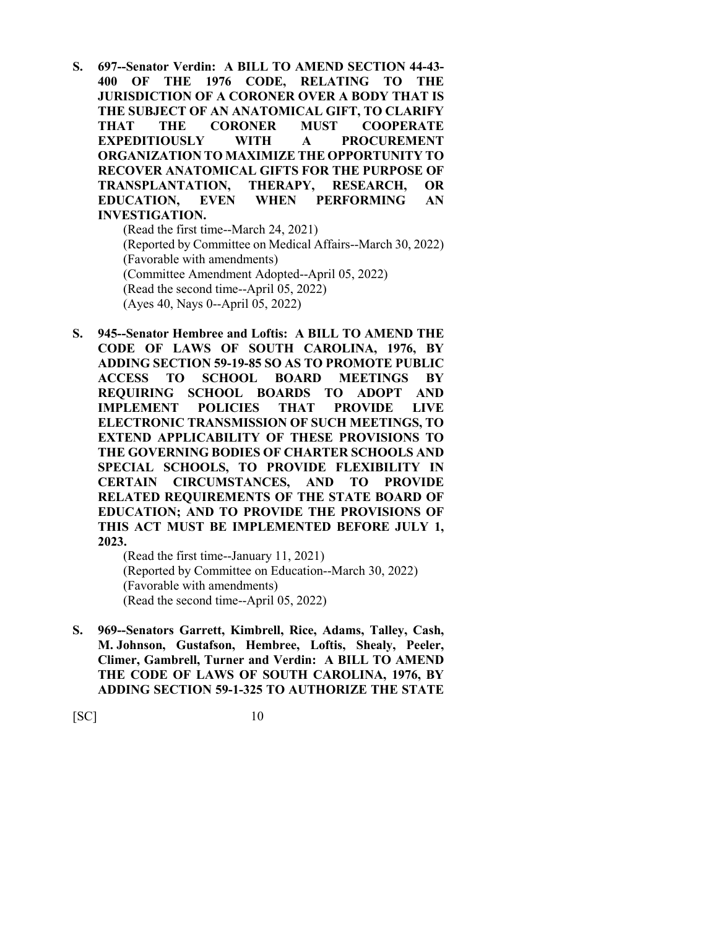**S. 697--Senator Verdin: A BILL TO AMEND SECTION 44-43- 400 OF THE 1976 CODE, RELATING TO THE JURISDICTION OF A CORONER OVER A BODY THAT IS THE SUBJECT OF AN ANATOMICAL GIFT, TO CLARIFY THAT THE CORONER MUST COOPERATE EXPEDITIOUSLY WITH A PROCUREMENT ORGANIZATION TO MAXIMIZE THE OPPORTUNITY TO RECOVER ANATOMICAL GIFTS FOR THE PURPOSE OF TRANSPLANTATION, THERAPY, RESEARCH, OR EDUCATION, EVEN WHEN PERFORMING AN INVESTIGATION.**

(Read the first time--March 24, 2021) (Reported by Committee on Medical Affairs--March 30, 2022) (Favorable with amendments) (Committee Amendment Adopted--April 05, 2022) (Read the second time--April 05, 2022) (Ayes 40, Nays 0--April 05, 2022)

**S. 945--Senator Hembree and Loftis: A BILL TO AMEND THE CODE OF LAWS OF SOUTH CAROLINA, 1976, BY ADDING SECTION 59-19-85 SO AS TO PROMOTE PUBLIC ACCESS TO SCHOOL BOARD MEETINGS BY REQUIRING SCHOOL BOARDS TO ADOPT AND IMPLEMENT POLICIES THAT PROVIDE LIVE ELECTRONIC TRANSMISSION OF SUCH MEETINGS, TO EXTEND APPLICABILITY OF THESE PROVISIONS TO THE GOVERNING BODIES OF CHARTER SCHOOLS AND SPECIAL SCHOOLS, TO PROVIDE FLEXIBILITY IN CERTAIN CIRCUMSTANCES, AND TO PROVIDE RELATED REQUIREMENTS OF THE STATE BOARD OF EDUCATION; AND TO PROVIDE THE PROVISIONS OF THIS ACT MUST BE IMPLEMENTED BEFORE JULY 1, 2023.**

(Read the first time--January 11, 2021) (Reported by Committee on Education--March 30, 2022) (Favorable with amendments) (Read the second time--April 05, 2022)

**S. 969--Senators Garrett, Kimbrell, Rice, Adams, Talley, Cash, M. Johnson, Gustafson, Hembree, Loftis, Shealy, Peeler, Climer, Gambrell, Turner and Verdin: A BILL TO AMEND THE CODE OF LAWS OF SOUTH CAROLINA, 1976, BY ADDING SECTION 59-1-325 TO AUTHORIZE THE STATE**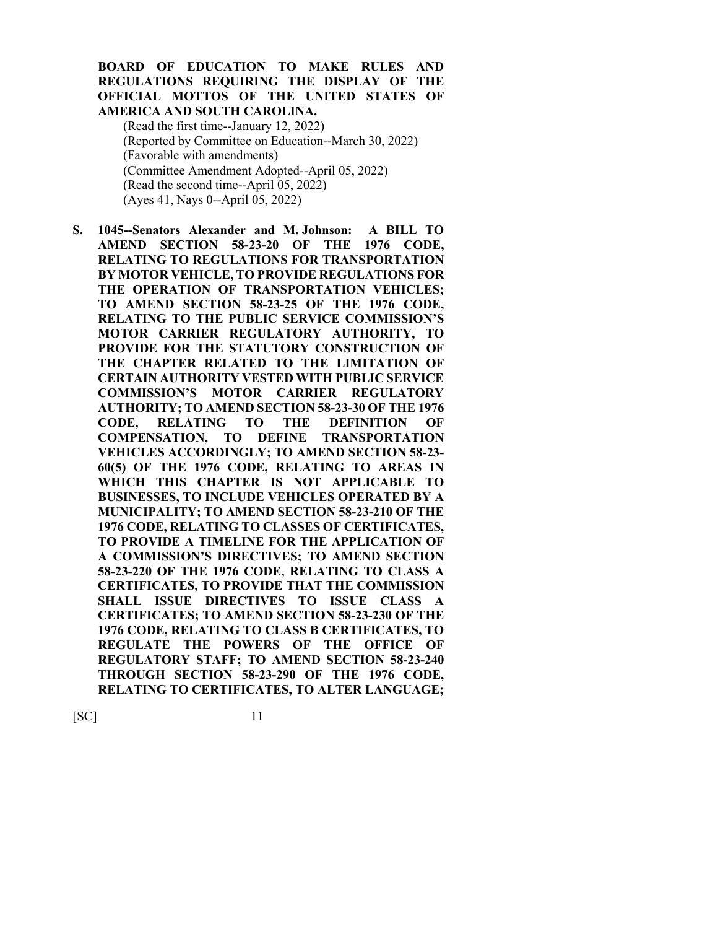## **BOARD OF EDUCATION TO MAKE RULES AND REGULATIONS REQUIRING THE DISPLAY OF THE OFFICIAL MOTTOS OF THE UNITED STATES OF AMERICA AND SOUTH CAROLINA.**

(Read the first time--January 12, 2022) (Reported by Committee on Education--March 30, 2022) (Favorable with amendments) (Committee Amendment Adopted--April 05, 2022) (Read the second time--April 05, 2022) (Ayes 41, Nays 0--April 05, 2022)

**S. 1045--Senators Alexander and M. Johnson: A BILL TO AMEND SECTION 58-23-20 OF THE 1976 CODE, RELATING TO REGULATIONS FOR TRANSPORTATION BY MOTOR VEHICLE, TO PROVIDE REGULATIONS FOR THE OPERATION OF TRANSPORTATION VEHICLES; TO AMEND SECTION 58-23-25 OF THE 1976 CODE, RELATING TO THE PUBLIC SERVICE COMMISSION'S MOTOR CARRIER REGULATORY AUTHORITY, TO PROVIDE FOR THE STATUTORY CONSTRUCTION OF THE CHAPTER RELATED TO THE LIMITATION OF CERTAIN AUTHORITY VESTED WITH PUBLIC SERVICE COMMISSION'S MOTOR CARRIER REGULATORY AUTHORITY; TO AMEND SECTION 58-23-30 OF THE 1976 CODE, RELATING TO THE DEFINITION OF COMPENSATION, TO DEFINE TRANSPORTATION VEHICLES ACCORDINGLY; TO AMEND SECTION 58-23- 60(5) OF THE 1976 CODE, RELATING TO AREAS IN WHICH THIS CHAPTER IS NOT APPLICABLE TO BUSINESSES, TO INCLUDE VEHICLES OPERATED BY A MUNICIPALITY; TO AMEND SECTION 58-23-210 OF THE 1976 CODE, RELATING TO CLASSES OF CERTIFICATES, TO PROVIDE A TIMELINE FOR THE APPLICATION OF A COMMISSION'S DIRECTIVES; TO AMEND SECTION 58-23-220 OF THE 1976 CODE, RELATING TO CLASS A CERTIFICATES, TO PROVIDE THAT THE COMMISSION SHALL ISSUE DIRECTIVES TO ISSUE CLASS A CERTIFICATES; TO AMEND SECTION 58-23-230 OF THE 1976 CODE, RELATING TO CLASS B CERTIFICATES, TO REGULATE THE POWERS OF THE OFFICE OF REGULATORY STAFF; TO AMEND SECTION 58-23-240 THROUGH SECTION 58-23-290 OF THE 1976 CODE, RELATING TO CERTIFICATES, TO ALTER LANGUAGE;**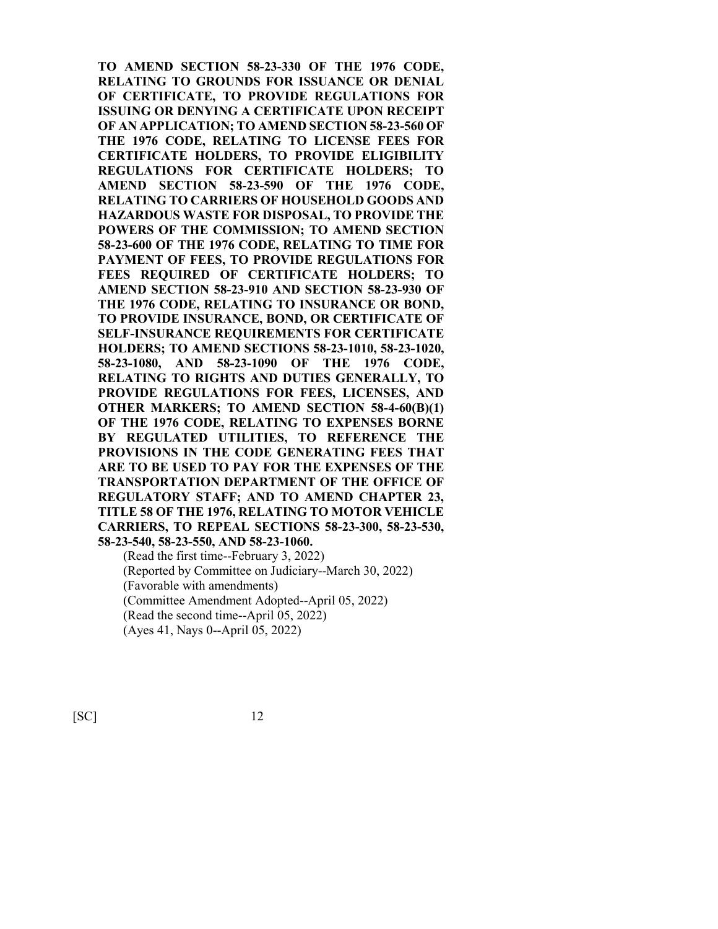**TO AMEND SECTION 58-23-330 OF THE 1976 CODE, RELATING TO GROUNDS FOR ISSUANCE OR DENIAL OF CERTIFICATE, TO PROVIDE REGULATIONS FOR ISSUING OR DENYING A CERTIFICATE UPON RECEIPT OF AN APPLICATION; TO AMEND SECTION 58-23-560 OF THE 1976 CODE, RELATING TO LICENSE FEES FOR CERTIFICATE HOLDERS, TO PROVIDE ELIGIBILITY REGULATIONS FOR CERTIFICATE HOLDERS; TO AMEND SECTION 58-23-590 OF THE 1976 CODE, RELATING TO CARRIERS OF HOUSEHOLD GOODS AND HAZARDOUS WASTE FOR DISPOSAL, TO PROVIDE THE POWERS OF THE COMMISSION; TO AMEND SECTION 58-23-600 OF THE 1976 CODE, RELATING TO TIME FOR PAYMENT OF FEES, TO PROVIDE REGULATIONS FOR FEES REQUIRED OF CERTIFICATE HOLDERS; TO AMEND SECTION 58-23-910 AND SECTION 58-23-930 OF THE 1976 CODE, RELATING TO INSURANCE OR BOND, TO PROVIDE INSURANCE, BOND, OR CERTIFICATE OF SELF-INSURANCE REQUIREMENTS FOR CERTIFICATE HOLDERS; TO AMEND SECTIONS 58-23-1010, 58-23-1020, 58-23-1080, AND 58-23-1090 OF THE 1976 CODE, RELATING TO RIGHTS AND DUTIES GENERALLY, TO PROVIDE REGULATIONS FOR FEES, LICENSES, AND OTHER MARKERS; TO AMEND SECTION 58-4-60(B)(1) OF THE 1976 CODE, RELATING TO EXPENSES BORNE BY REGULATED UTILITIES, TO REFERENCE THE PROVISIONS IN THE CODE GENERATING FEES THAT ARE TO BE USED TO PAY FOR THE EXPENSES OF THE TRANSPORTATION DEPARTMENT OF THE OFFICE OF REGULATORY STAFF; AND TO AMEND CHAPTER 23, TITLE 58 OF THE 1976, RELATING TO MOTOR VEHICLE CARRIERS, TO REPEAL SECTIONS 58-23-300, 58-23-530, 58-23-540, 58-23-550, AND 58-23-1060.**

(Read the first time--February 3, 2022) (Reported by Committee on Judiciary--March 30, 2022) (Favorable with amendments) (Committee Amendment Adopted--April 05, 2022) (Read the second time--April 05, 2022) (Ayes 41, Nays 0--April 05, 2022)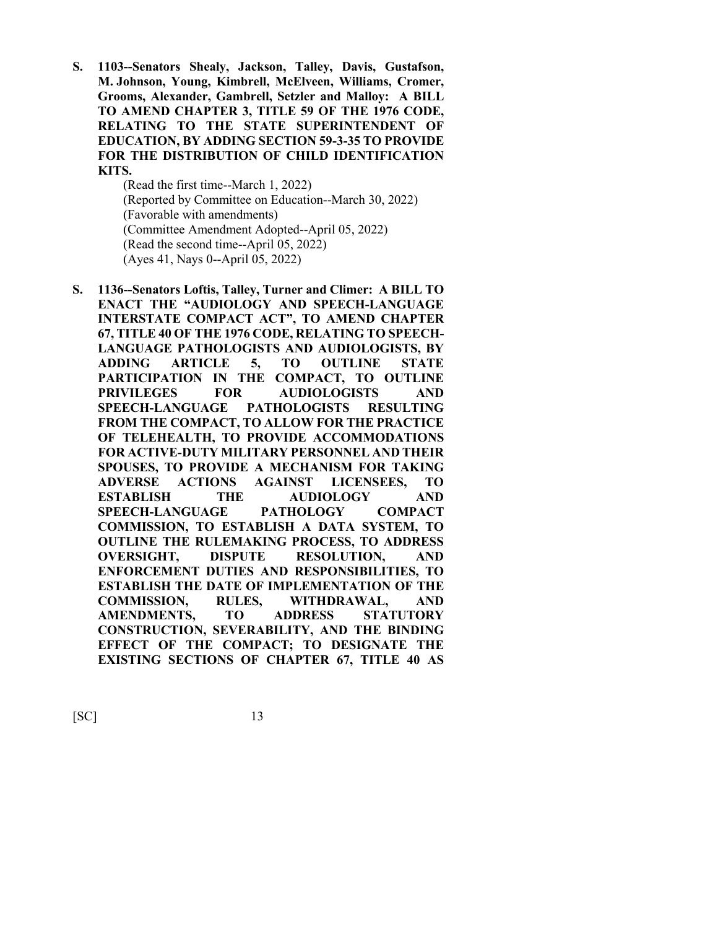**S. 1103--Senators Shealy, Jackson, Talley, Davis, Gustafson, M. Johnson, Young, Kimbrell, McElveen, Williams, Cromer, Grooms, Alexander, Gambrell, Setzler and Malloy: A BILL TO AMEND CHAPTER 3, TITLE 59 OF THE 1976 CODE, RELATING TO THE STATE SUPERINTENDENT OF EDUCATION, BY ADDING SECTION 59-3-35 TO PROVIDE FOR THE DISTRIBUTION OF CHILD IDENTIFICATION KITS.**

> (Read the first time--March 1, 2022) (Reported by Committee on Education--March 30, 2022) (Favorable with amendments) (Committee Amendment Adopted--April 05, 2022) (Read the second time--April 05, 2022) (Ayes 41, Nays 0--April 05, 2022)

**S. 1136--Senators Loftis, Talley, Turner and Climer: A BILL TO ENACT THE "AUDIOLOGY AND SPEECH-LANGUAGE INTERSTATE COMPACT ACT", TO AMEND CHAPTER 67, TITLE 40 OF THE 1976 CODE, RELATING TO SPEECH-LANGUAGE PATHOLOGISTS AND AUDIOLOGISTS, BY ADDING ARTICLE 5, TO OUTLINE STATE PARTICIPATION IN THE COMPACT, TO OUTLINE PRIVILEGES FOR AUDIOLOGISTS AND SPEECH-LANGUAGE PATHOLOGISTS RESULTING FROM THE COMPACT, TO ALLOW FOR THE PRACTICE OF TELEHEALTH, TO PROVIDE ACCOMMODATIONS FOR ACTIVE-DUTY MILITARY PERSONNEL AND THEIR SPOUSES, TO PROVIDE A MECHANISM FOR TAKING ADVERSE ACTIONS AGAINST LICENSEES, TO ESTABLISH THE AUDIOLOGY AND SPEECH-LANGUAGE PATHOLOGY COMPACT COMMISSION, TO ESTABLISH A DATA SYSTEM, TO OUTLINE THE RULEMAKING PROCESS, TO ADDRESS OVERSIGHT, DISPUTE RESOLUTION, AND ENFORCEMENT DUTIES AND RESPONSIBILITIES, TO ESTABLISH THE DATE OF IMPLEMENTATION OF THE COMMISSION, RULES, WITHDRAWAL, AND AMENDMENTS, TO ADDRESS STATUTORY CONSTRUCTION, SEVERABILITY, AND THE BINDING EFFECT OF THE COMPACT; TO DESIGNATE THE EXISTING SECTIONS OF CHAPTER 67, TITLE 40 AS**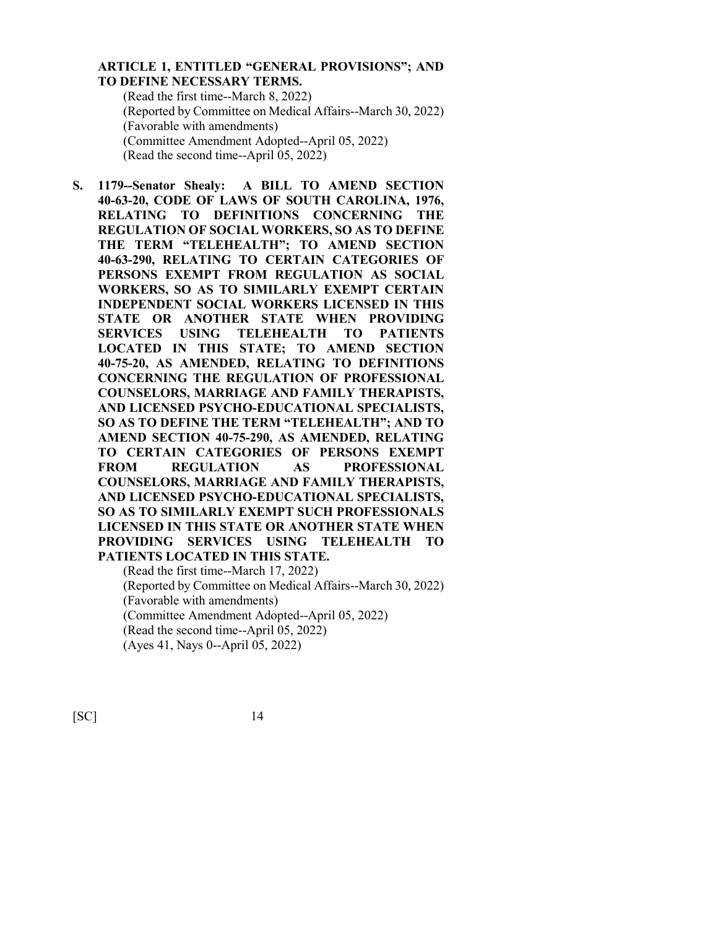## **ARTICLE 1, ENTITLED "GENERAL PROVISIONS"; AND TO DEFINE NECESSARY TERMS.**

(Read the first time--March 8, 2022) (Reported by Committee on Medical Affairs--March 30, 2022) (Favorable with amendments) (Committee Amendment Adopted--April 05, 2022) (Read the second time--April 05, 2022)

**S. 1179--Senator Shealy: A BILL TO AMEND SECTION 40-63-20, CODE OF LAWS OF SOUTH CAROLINA, 1976, RELATING TO DEFINITIONS CONCERNING THE REGULATION OF SOCIAL WORKERS, SO AS TO DEFINE THE TERM "TELEHEALTH"; TO AMEND SECTION 40-63-290, RELATING TO CERTAIN CATEGORIES OF PERSONS EXEMPT FROM REGULATION AS SOCIAL WORKERS, SO AS TO SIMILARLY EXEMPT CERTAIN INDEPENDENT SOCIAL WORKERS LICENSED IN THIS STATE OR ANOTHER STATE WHEN PROVIDING SERVICES USING TELEHEALTH TO PATIENTS LOCATED IN THIS STATE; TO AMEND SECTION 40-75-20, AS AMENDED, RELATING TO DEFINITIONS CONCERNING THE REGULATION OF PROFESSIONAL COUNSELORS, MARRIAGE AND FAMILY THERAPISTS, AND LICENSED PSYCHO-EDUCATIONAL SPECIALISTS, SO AS TO DEFINE THE TERM "TELEHEALTH"; AND TO AMEND SECTION 40-75-290, AS AMENDED, RELATING TO CERTAIN CATEGORIES OF PERSONS EXEMPT FROM REGULATION AS PROFESSIONAL COUNSELORS, MARRIAGE AND FAMILY THERAPISTS, AND LICENSED PSYCHO-EDUCATIONAL SPECIALISTS, SO AS TO SIMILARLY EXEMPT SUCH PROFESSIONALS LICENSED IN THIS STATE OR ANOTHER STATE WHEN PROVIDING SERVICES USING TELEHEALTH TO PATIENTS LOCATED IN THIS STATE.**

(Read the first time--March 17, 2022) (Reported by Committee on Medical Affairs--March 30, 2022) (Favorable with amendments) (Committee Amendment Adopted--April 05, 2022) (Read the second time--April 05, 2022) (Ayes 41, Nays 0--April 05, 2022)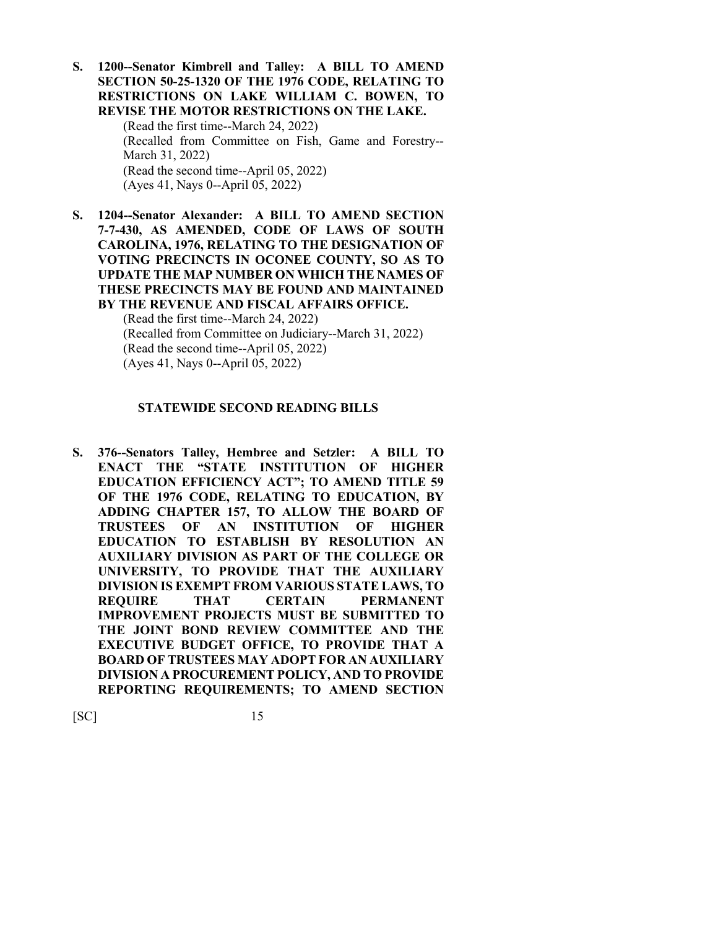**S. 1200--Senator Kimbrell and Talley: A BILL TO AMEND SECTION 50-25-1320 OF THE 1976 CODE, RELATING TO RESTRICTIONS ON LAKE WILLIAM C. BOWEN, TO REVISE THE MOTOR RESTRICTIONS ON THE LAKE.** (Read the first time--March 24, 2022) (Recalled from Committee on Fish, Game and Forestry-- March 31, 2022) (Read the second time--April 05, 2022) (Ayes 41, Nays 0--April 05, 2022)

**S. 1204--Senator Alexander: A BILL TO AMEND SECTION 7-7-430, AS AMENDED, CODE OF LAWS OF SOUTH CAROLINA, 1976, RELATING TO THE DESIGNATION OF VOTING PRECINCTS IN OCONEE COUNTY, SO AS TO UPDATE THE MAP NUMBER ON WHICH THE NAMES OF THESE PRECINCTS MAY BE FOUND AND MAINTAINED BY THE REVENUE AND FISCAL AFFAIRS OFFICE.**

> (Read the first time--March 24, 2022) (Recalled from Committee on Judiciary--March 31, 2022) (Read the second time--April 05, 2022) (Ayes 41, Nays 0--April 05, 2022)

#### **STATEWIDE SECOND READING BILLS**

**S. 376--Senators Talley, Hembree and Setzler: A BILL TO ENACT THE "STATE INSTITUTION OF HIGHER EDUCATION EFFICIENCY ACT"; TO AMEND TITLE 59 OF THE 1976 CODE, RELATING TO EDUCATION, BY ADDING CHAPTER 157, TO ALLOW THE BOARD OF TRUSTEES OF AN INSTITUTION OF HIGHER EDUCATION TO ESTABLISH BY RESOLUTION AN AUXILIARY DIVISION AS PART OF THE COLLEGE OR UNIVERSITY, TO PROVIDE THAT THE AUXILIARY DIVISION IS EXEMPT FROM VARIOUS STATE LAWS, TO REQUIRE THAT CERTAIN PERMANENT IMPROVEMENT PROJECTS MUST BE SUBMITTED TO THE JOINT BOND REVIEW COMMITTEE AND THE EXECUTIVE BUDGET OFFICE, TO PROVIDE THAT A BOARD OF TRUSTEES MAY ADOPT FOR AN AUXILIARY DIVISION A PROCUREMENT POLICY, AND TO PROVIDE REPORTING REQUIREMENTS; TO AMEND SECTION**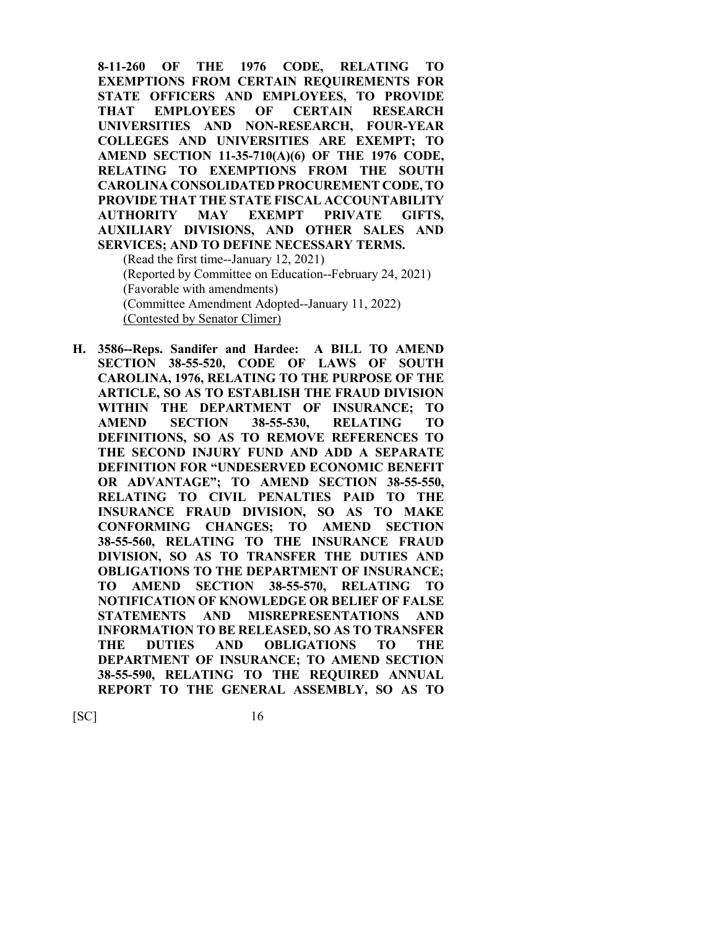**8-11-260 OF THE 1976 CODE, RELATING TO EXEMPTIONS FROM CERTAIN REQUIREMENTS FOR STATE OFFICERS AND EMPLOYEES, TO PROVIDE THAT EMPLOYEES OF CERTAIN RESEARCH UNIVERSITIES AND NON-RESEARCH, FOUR-YEAR COLLEGES AND UNIVERSITIES ARE EXEMPT; TO AMEND SECTION 11-35-710(A)(6) OF THE 1976 CODE, RELATING TO EXEMPTIONS FROM THE SOUTH CAROLINA CONSOLIDATED PROCUREMENT CODE, TO PROVIDE THAT THE STATE FISCAL ACCOUNTABILITY AUTHORITY MAY EXEMPT PRIVATE GIFTS, AUXILIARY DIVISIONS, AND OTHER SALES AND SERVICES; AND TO DEFINE NECESSARY TERMS.** (Read the first time--January 12, 2021)

(Reported by Committee on Education--February 24, 2021) (Favorable with amendments) (Committee Amendment Adopted--January 11, 2022) (Contested by Senator Climer)

**H. 3586--Reps. Sandifer and Hardee: A BILL TO AMEND SECTION 38-55-520, CODE OF LAWS OF SOUTH CAROLINA, 1976, RELATING TO THE PURPOSE OF THE ARTICLE, SO AS TO ESTABLISH THE FRAUD DIVISION WITHIN THE DEPARTMENT OF INSURANCE; TO AMEND SECTION 38-55-530, RELATING TO DEFINITIONS, SO AS TO REMOVE REFERENCES TO THE SECOND INJURY FUND AND ADD A SEPARATE DEFINITION FOR "UNDESERVED ECONOMIC BENEFIT OR ADVANTAGE"; TO AMEND SECTION 38-55-550, RELATING TO CIVIL PENALTIES PAID TO THE INSURANCE FRAUD DIVISION, SO AS TO MAKE CONFORMING CHANGES; TO AMEND SECTION 38-55-560, RELATING TO THE INSURANCE FRAUD DIVISION, SO AS TO TRANSFER THE DUTIES AND OBLIGATIONS TO THE DEPARTMENT OF INSURANCE; TO AMEND SECTION 38-55-570, RELATING TO NOTIFICATION OF KNOWLEDGE OR BELIEF OF FALSE STATEMENTS AND MISREPRESENTATIONS AND INFORMATION TO BE RELEASED, SO AS TO TRANSFER THE DUTIES AND OBLIGATIONS TO THE DEPARTMENT OF INSURANCE; TO AMEND SECTION 38-55-590, RELATING TO THE REQUIRED ANNUAL REPORT TO THE GENERAL ASSEMBLY, SO AS TO**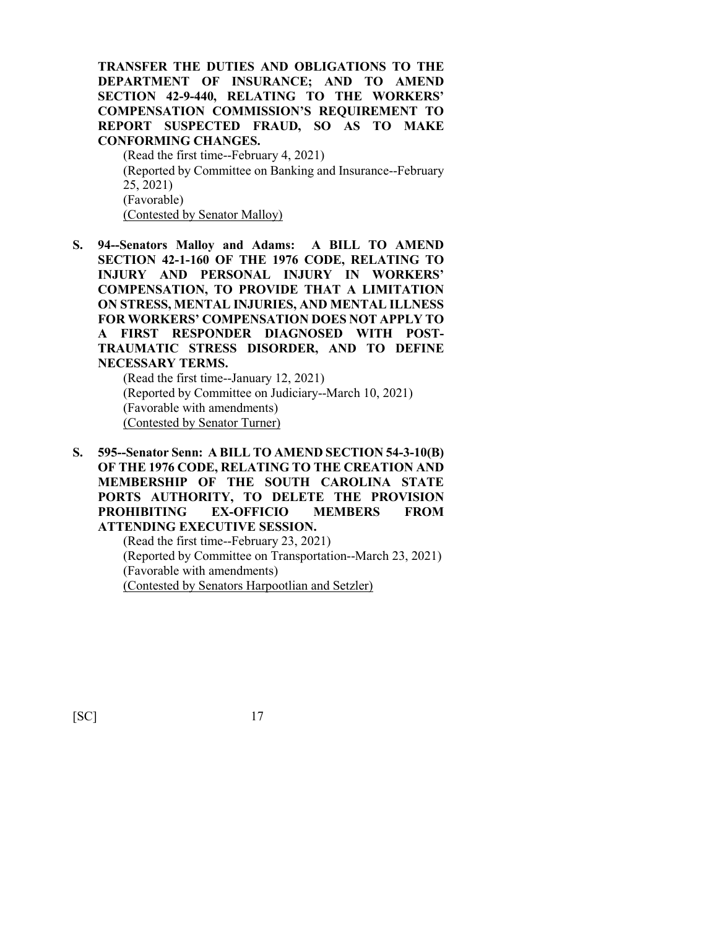**TRANSFER THE DUTIES AND OBLIGATIONS TO THE DEPARTMENT OF INSURANCE; AND TO AMEND SECTION 42-9-440, RELATING TO THE WORKERS' COMPENSATION COMMISSION'S REQUIREMENT TO REPORT SUSPECTED FRAUD, SO AS TO MAKE CONFORMING CHANGES.**

(Read the first time--February 4, 2021) (Reported by Committee on Banking and Insurance--February 25, 2021) (Favorable) (Contested by Senator Malloy)

**S. 94--Senators Malloy and Adams: A BILL TO AMEND SECTION 42-1-160 OF THE 1976 CODE, RELATING TO INJURY AND PERSONAL INJURY IN WORKERS' COMPENSATION, TO PROVIDE THAT A LIMITATION ON STRESS, MENTAL INJURIES, AND MENTAL ILLNESS FOR WORKERS' COMPENSATION DOES NOT APPLY TO A FIRST RESPONDER DIAGNOSED WITH POST-TRAUMATIC STRESS DISORDER, AND TO DEFINE NECESSARY TERMS.**

(Read the first time--January 12, 2021) (Reported by Committee on Judiciary--March 10, 2021) (Favorable with amendments) (Contested by Senator Turner)

**S. 595--Senator Senn: A BILL TO AMEND SECTION 54-3-10(B) OF THE 1976 CODE, RELATING TO THE CREATION AND MEMBERSHIP OF THE SOUTH CAROLINA STATE PORTS AUTHORITY, TO DELETE THE PROVISION PROHIBITING EX-OFFICIO MEMBERS FROM ATTENDING EXECUTIVE SESSION.**

> (Read the first time--February 23, 2021) (Reported by Committee on Transportation--March 23, 2021) (Favorable with amendments) (Contested by Senators Harpootlian and Setzler)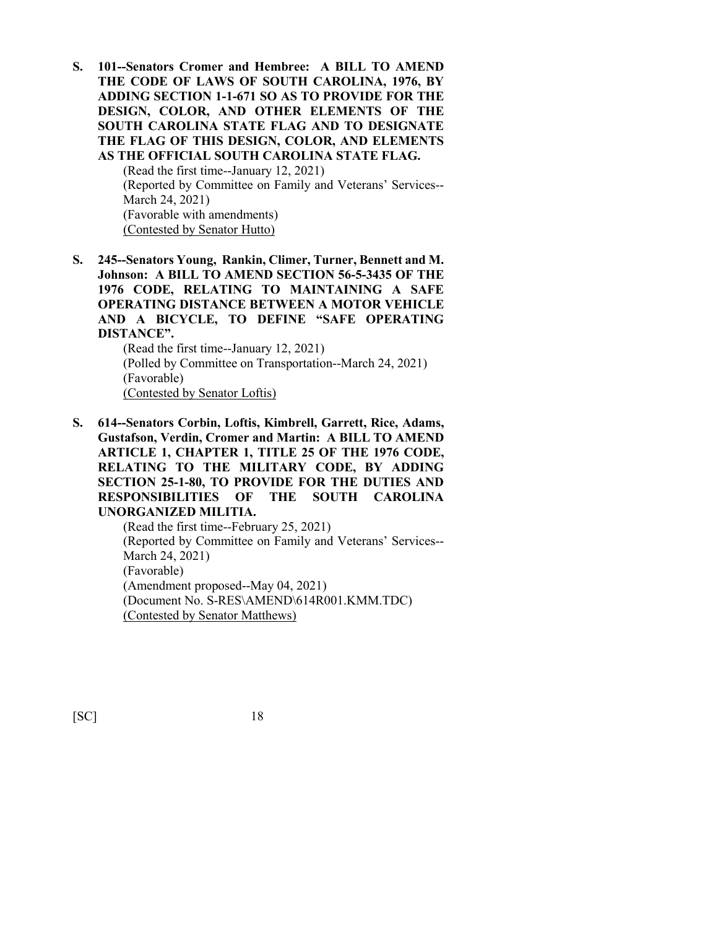**S. 101--Senators Cromer and Hembree: A BILL TO AMEND THE CODE OF LAWS OF SOUTH CAROLINA, 1976, BY ADDING SECTION 1-1-671 SO AS TO PROVIDE FOR THE DESIGN, COLOR, AND OTHER ELEMENTS OF THE SOUTH CAROLINA STATE FLAG AND TO DESIGNATE THE FLAG OF THIS DESIGN, COLOR, AND ELEMENTS AS THE OFFICIAL SOUTH CAROLINA STATE FLAG.**

> (Read the first time--January 12, 2021) (Reported by Committee on Family and Veterans' Services-- March 24, 2021) (Favorable with amendments) (Contested by Senator Hutto)

**S. 245--Senators Young, Rankin, Climer, Turner, Bennett and M. Johnson: A BILL TO AMEND SECTION 56-5-3435 OF THE 1976 CODE, RELATING TO MAINTAINING A SAFE OPERATING DISTANCE BETWEEN A MOTOR VEHICLE AND A BICYCLE, TO DEFINE "SAFE OPERATING DISTANCE".**

> (Read the first time--January 12, 2021) (Polled by Committee on Transportation--March 24, 2021) (Favorable) (Contested by Senator Loftis)

**S. 614--Senators Corbin, Loftis, Kimbrell, Garrett, Rice, Adams, Gustafson, Verdin, Cromer and Martin: A BILL TO AMEND ARTICLE 1, CHAPTER 1, TITLE 25 OF THE 1976 CODE, RELATING TO THE MILITARY CODE, BY ADDING SECTION 25-1-80, TO PROVIDE FOR THE DUTIES AND RESPONSIBILITIES OF THE SOUTH CAROLINA UNORGANIZED MILITIA.**

> (Read the first time--February 25, 2021) (Reported by Committee on Family and Veterans' Services-- March 24, 2021) (Favorable) (Amendment proposed--May 04, 2021) (Document No. S-RES\AMEND\614R001.KMM.TDC) (Contested by Senator Matthews)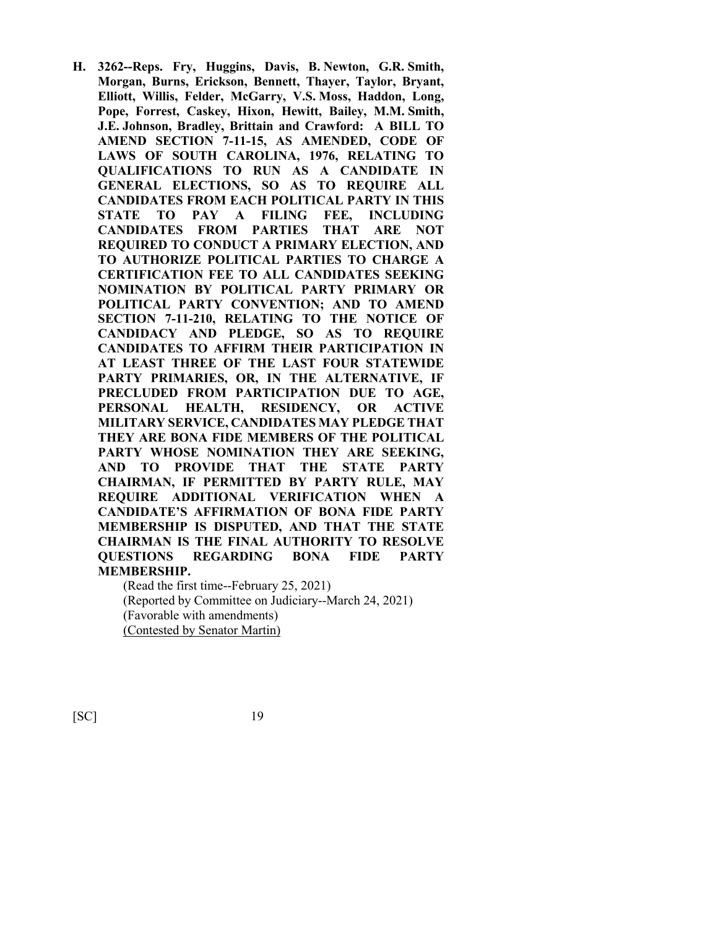**H. 3262--Reps. Fry, Huggins, Davis, B. Newton, G.R. Smith, Morgan, Burns, Erickson, Bennett, Thayer, Taylor, Bryant, Elliott, Willis, Felder, McGarry, V.S. Moss, Haddon, Long, Pope, Forrest, Caskey, Hixon, Hewitt, Bailey, M.M. Smith, J.E. Johnson, Bradley, Brittain and Crawford: A BILL TO AMEND SECTION 7-11-15, AS AMENDED, CODE OF LAWS OF SOUTH CAROLINA, 1976, RELATING TO QUALIFICATIONS TO RUN AS A CANDIDATE IN GENERAL ELECTIONS, SO AS TO REQUIRE ALL CANDIDATES FROM EACH POLITICAL PARTY IN THIS STATE TO PAY A FILING FEE, INCLUDING CANDIDATES FROM PARTIES THAT ARE NOT REQUIRED TO CONDUCT A PRIMARY ELECTION, AND TO AUTHORIZE POLITICAL PARTIES TO CHARGE A CERTIFICATION FEE TO ALL CANDIDATES SEEKING NOMINATION BY POLITICAL PARTY PRIMARY OR POLITICAL PARTY CONVENTION; AND TO AMEND SECTION 7-11-210, RELATING TO THE NOTICE OF CANDIDACY AND PLEDGE, SO AS TO REQUIRE CANDIDATES TO AFFIRM THEIR PARTICIPATION IN AT LEAST THREE OF THE LAST FOUR STATEWIDE PARTY PRIMARIES, OR, IN THE ALTERNATIVE, IF PRECLUDED FROM PARTICIPATION DUE TO AGE, PERSONAL HEALTH, RESIDENCY, OR ACTIVE MILITARY SERVICE, CANDIDATES MAY PLEDGE THAT THEY ARE BONA FIDE MEMBERS OF THE POLITICAL PARTY WHOSE NOMINATION THEY ARE SEEKING, AND TO PROVIDE THAT THE STATE PARTY CHAIRMAN, IF PERMITTED BY PARTY RULE, MAY REQUIRE ADDITIONAL VERIFICATION WHEN A CANDIDATE'S AFFIRMATION OF BONA FIDE PARTY MEMBERSHIP IS DISPUTED, AND THAT THE STATE CHAIRMAN IS THE FINAL AUTHORITY TO RESOLVE QUESTIONS REGARDING BONA FIDE PARTY MEMBERSHIP.**

(Read the first time--February 25, 2021) (Reported by Committee on Judiciary--March 24, 2021) (Favorable with amendments) (Contested by Senator Martin)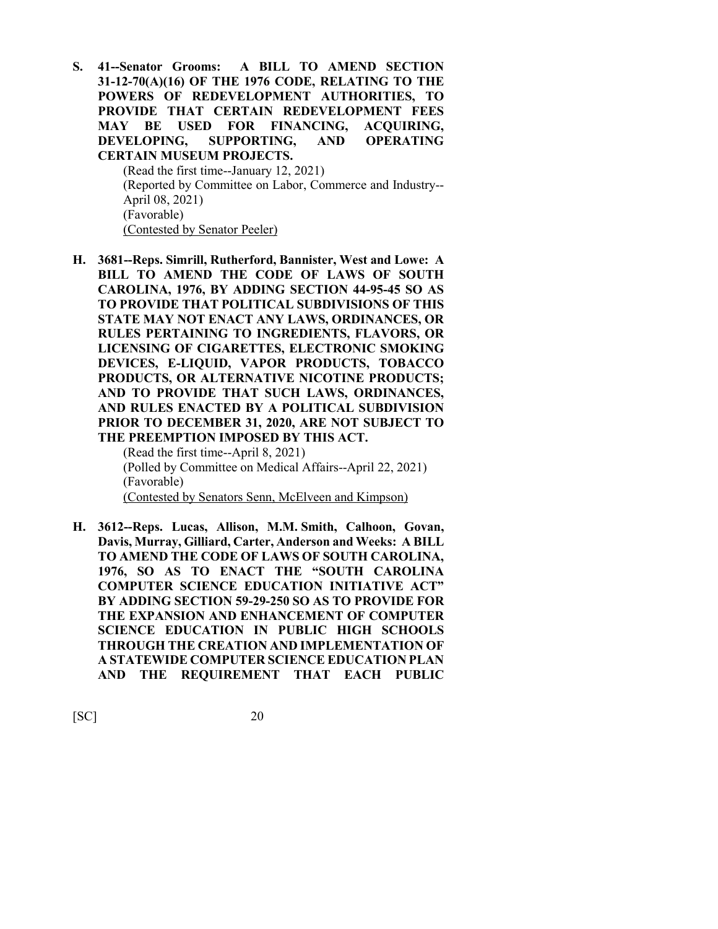**S. 41--Senator Grooms: A BILL TO AMEND SECTION 31-12-70(A)(16) OF THE 1976 CODE, RELATING TO THE POWERS OF REDEVELOPMENT AUTHORITIES, TO PROVIDE THAT CERTAIN REDEVELOPMENT FEES MAY BE USED FOR FINANCING, ACQUIRING, DEVELOPING, SUPPORTING, AND OPERATING CERTAIN MUSEUM PROJECTS.**

> (Read the first time--January 12, 2021) (Reported by Committee on Labor, Commerce and Industry-- April 08, 2021) (Favorable) (Contested by Senator Peeler)

**H. 3681--Reps. Simrill, Rutherford, Bannister, West and Lowe: A BILL TO AMEND THE CODE OF LAWS OF SOUTH CAROLINA, 1976, BY ADDING SECTION 44-95-45 SO AS TO PROVIDE THAT POLITICAL SUBDIVISIONS OF THIS STATE MAY NOT ENACT ANY LAWS, ORDINANCES, OR RULES PERTAINING TO INGREDIENTS, FLAVORS, OR LICENSING OF CIGARETTES, ELECTRONIC SMOKING DEVICES, E-LIQUID, VAPOR PRODUCTS, TOBACCO PRODUCTS, OR ALTERNATIVE NICOTINE PRODUCTS; AND TO PROVIDE THAT SUCH LAWS, ORDINANCES, AND RULES ENACTED BY A POLITICAL SUBDIVISION PRIOR TO DECEMBER 31, 2020, ARE NOT SUBJECT TO THE PREEMPTION IMPOSED BY THIS ACT.**

(Read the first time--April 8, 2021) (Polled by Committee on Medical Affairs--April 22, 2021) (Favorable) (Contested by Senators Senn, McElveen and Kimpson)

**H. 3612--Reps. Lucas, Allison, M.M. Smith, Calhoon, Govan, Davis, Murray, Gilliard, Carter, Anderson and Weeks: A BILL TO AMEND THE CODE OF LAWS OF SOUTH CAROLINA, 1976, SO AS TO ENACT THE "SOUTH CAROLINA COMPUTER SCIENCE EDUCATION INITIATIVE ACT" BY ADDING SECTION 59-29-250 SO AS TO PROVIDE FOR THE EXPANSION AND ENHANCEMENT OF COMPUTER SCIENCE EDUCATION IN PUBLIC HIGH SCHOOLS THROUGH THE CREATION AND IMPLEMENTATION OF A STATEWIDE COMPUTER SCIENCE EDUCATION PLAN AND THE REQUIREMENT THAT EACH PUBLIC**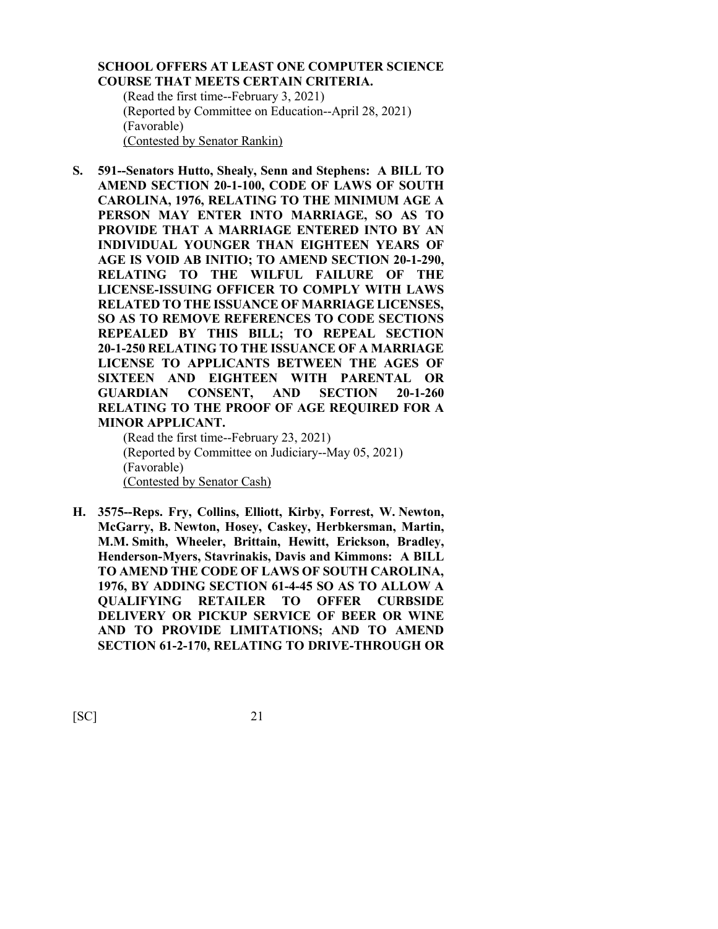## **SCHOOL OFFERS AT LEAST ONE COMPUTER SCIENCE COURSE THAT MEETS CERTAIN CRITERIA.**

(Read the first time--February 3, 2021) (Reported by Committee on Education--April 28, 2021) (Favorable) (Contested by Senator Rankin)

**S. 591--Senators Hutto, Shealy, Senn and Stephens: A BILL TO AMEND SECTION 20-1-100, CODE OF LAWS OF SOUTH CAROLINA, 1976, RELATING TO THE MINIMUM AGE A PERSON MAY ENTER INTO MARRIAGE, SO AS TO PROVIDE THAT A MARRIAGE ENTERED INTO BY AN INDIVIDUAL YOUNGER THAN EIGHTEEN YEARS OF AGE IS VOID AB INITIO; TO AMEND SECTION 20-1-290, RELATING TO THE WILFUL FAILURE OF THE LICENSE-ISSUING OFFICER TO COMPLY WITH LAWS RELATED TO THE ISSUANCE OF MARRIAGE LICENSES, SO AS TO REMOVE REFERENCES TO CODE SECTIONS REPEALED BY THIS BILL; TO REPEAL SECTION 20-1-250 RELATING TO THE ISSUANCE OF A MARRIAGE LICENSE TO APPLICANTS BETWEEN THE AGES OF SIXTEEN AND EIGHTEEN WITH PARENTAL OR GUARDIAN CONSENT, AND SECTION 20-1-260 RELATING TO THE PROOF OF AGE REQUIRED FOR A MINOR APPLICANT.**

(Read the first time--February 23, 2021) (Reported by Committee on Judiciary--May 05, 2021) (Favorable) (Contested by Senator Cash)

**H. 3575--Reps. Fry, Collins, Elliott, Kirby, Forrest, W. Newton, McGarry, B. Newton, Hosey, Caskey, Herbkersman, Martin, M.M. Smith, Wheeler, Brittain, Hewitt, Erickson, Bradley, Henderson-Myers, Stavrinakis, Davis and Kimmons: A BILL TO AMEND THE CODE OF LAWS OF SOUTH CAROLINA, 1976, BY ADDING SECTION 61-4-45 SO AS TO ALLOW A QUALIFYING RETAILER TO OFFER CURBSIDE DELIVERY OR PICKUP SERVICE OF BEER OR WINE AND TO PROVIDE LIMITATIONS; AND TO AMEND SECTION 61-2-170, RELATING TO DRIVE-THROUGH OR**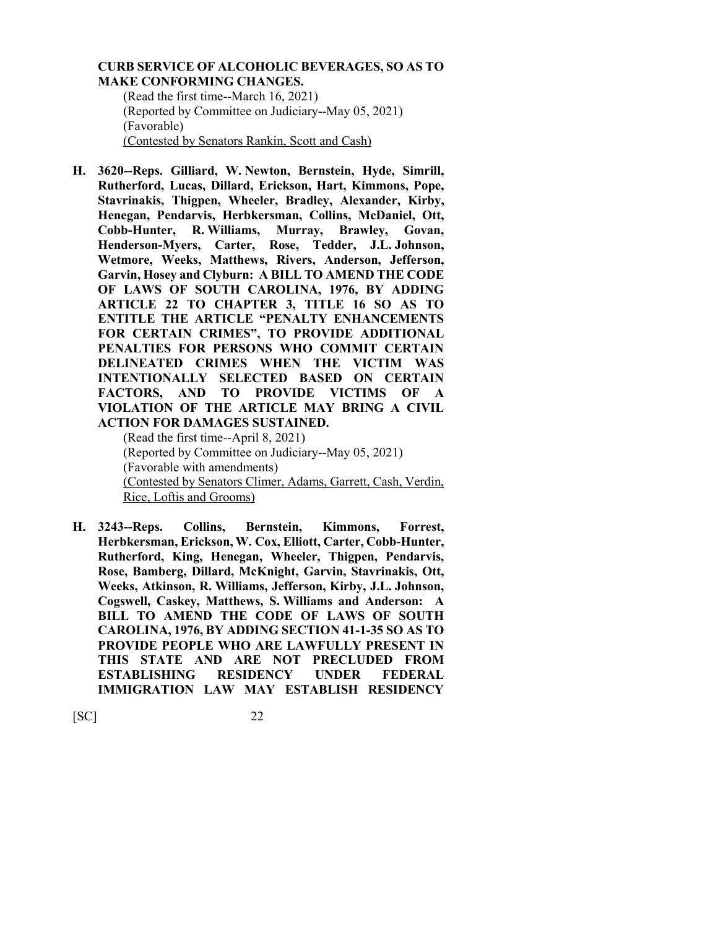#### **CURB SERVICE OF ALCOHOLIC BEVERAGES, SO AS TO MAKE CONFORMING CHANGES.**

(Read the first time--March 16, 2021) (Reported by Committee on Judiciary--May 05, 2021) (Favorable) (Contested by Senators Rankin, Scott and Cash)

**H. 3620--Reps. Gilliard, W. Newton, Bernstein, Hyde, Simrill, Rutherford, Lucas, Dillard, Erickson, Hart, Kimmons, Pope, Stavrinakis, Thigpen, Wheeler, Bradley, Alexander, Kirby, Henegan, Pendarvis, Herbkersman, Collins, McDaniel, Ott, Cobb-Hunter, R. Williams, Murray, Brawley, Govan, Henderson-Myers, Carter, Rose, Tedder, J.L. Johnson, Wetmore, Weeks, Matthews, Rivers, Anderson, Jefferson, Garvin, Hosey and Clyburn: A BILL TO AMEND THE CODE OF LAWS OF SOUTH CAROLINA, 1976, BY ADDING ARTICLE 22 TO CHAPTER 3, TITLE 16 SO AS TO ENTITLE THE ARTICLE "PENALTY ENHANCEMENTS FOR CERTAIN CRIMES", TO PROVIDE ADDITIONAL PENALTIES FOR PERSONS WHO COMMIT CERTAIN DELINEATED CRIMES WHEN THE VICTIM WAS INTENTIONALLY SELECTED BASED ON CERTAIN FACTORS, AND TO PROVIDE VICTIMS OF A VIOLATION OF THE ARTICLE MAY BRING A CIVIL ACTION FOR DAMAGES SUSTAINED.**

(Read the first time--April 8, 2021) (Reported by Committee on Judiciary--May 05, 2021) (Favorable with amendments) (Contested by Senators Climer, Adams, Garrett, Cash, Verdin, Rice, Loftis and Grooms)

**H. 3243--Reps. Collins, Bernstein, Kimmons, Forrest, Herbkersman, Erickson, W. Cox, Elliott, Carter, Cobb-Hunter, Rutherford, King, Henegan, Wheeler, Thigpen, Pendarvis, Rose, Bamberg, Dillard, McKnight, Garvin, Stavrinakis, Ott, Weeks, Atkinson, R. Williams, Jefferson, Kirby, J.L. Johnson, Cogswell, Caskey, Matthews, S. Williams and Anderson: A BILL TO AMEND THE CODE OF LAWS OF SOUTH CAROLINA, 1976, BY ADDING SECTION 41-1-35 SO AS TO PROVIDE PEOPLE WHO ARE LAWFULLY PRESENT IN THIS STATE AND ARE NOT PRECLUDED FROM ESTABLISHING RESIDENCY UNDER FEDERAL IMMIGRATION LAW MAY ESTABLISH RESIDENCY**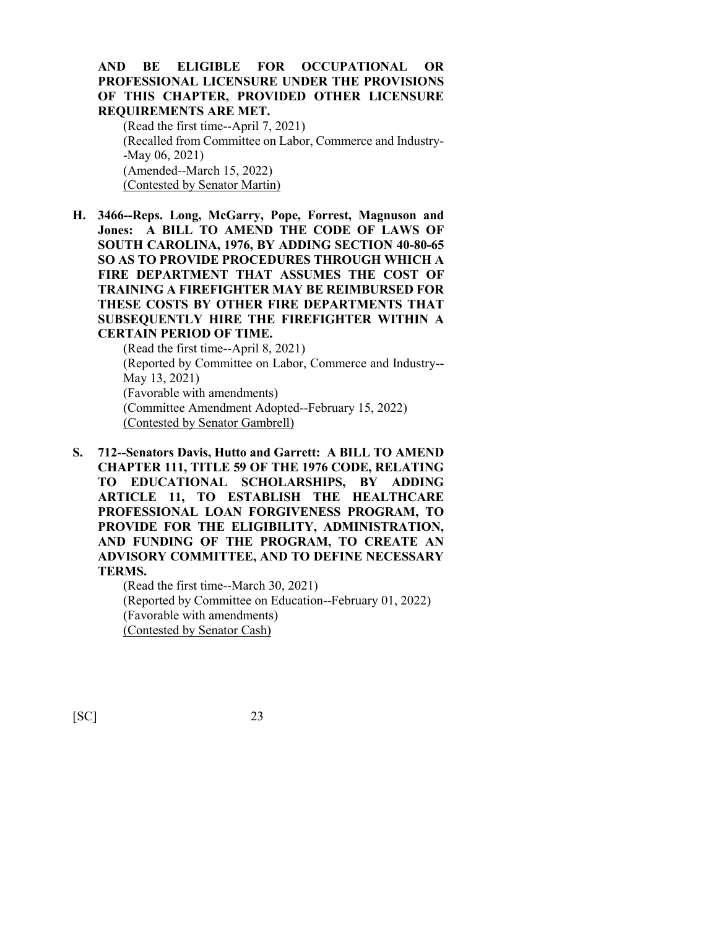## **AND BE ELIGIBLE FOR OCCUPATIONAL OR PROFESSIONAL LICENSURE UNDER THE PROVISIONS OF THIS CHAPTER, PROVIDED OTHER LICENSURE REQUIREMENTS ARE MET.**

(Read the first time--April 7, 2021) (Recalled from Committee on Labor, Commerce and Industry- -May 06, 2021) (Amended--March 15, 2022) (Contested by Senator Martin)

**H. 3466--Reps. Long, McGarry, Pope, Forrest, Magnuson and Jones: A BILL TO AMEND THE CODE OF LAWS OF SOUTH CAROLINA, 1976, BY ADDING SECTION 40-80-65 SO AS TO PROVIDE PROCEDURES THROUGH WHICH A FIRE DEPARTMENT THAT ASSUMES THE COST OF TRAINING A FIREFIGHTER MAY BE REIMBURSED FOR THESE COSTS BY OTHER FIRE DEPARTMENTS THAT SUBSEQUENTLY HIRE THE FIREFIGHTER WITHIN A CERTAIN PERIOD OF TIME.**

> (Read the first time--April 8, 2021) (Reported by Committee on Labor, Commerce and Industry-- May 13, 2021) (Favorable with amendments) (Committee Amendment Adopted--February 15, 2022) (Contested by Senator Gambrell)

**S. 712--Senators Davis, Hutto and Garrett: A BILL TO AMEND CHAPTER 111, TITLE 59 OF THE 1976 CODE, RELATING TO EDUCATIONAL SCHOLARSHIPS, BY ADDING ARTICLE 11, TO ESTABLISH THE HEALTHCARE PROFESSIONAL LOAN FORGIVENESS PROGRAM, TO PROVIDE FOR THE ELIGIBILITY, ADMINISTRATION, AND FUNDING OF THE PROGRAM, TO CREATE AN ADVISORY COMMITTEE, AND TO DEFINE NECESSARY TERMS.**

> (Read the first time--March 30, 2021) (Reported by Committee on Education--February 01, 2022) (Favorable with amendments) (Contested by Senator Cash)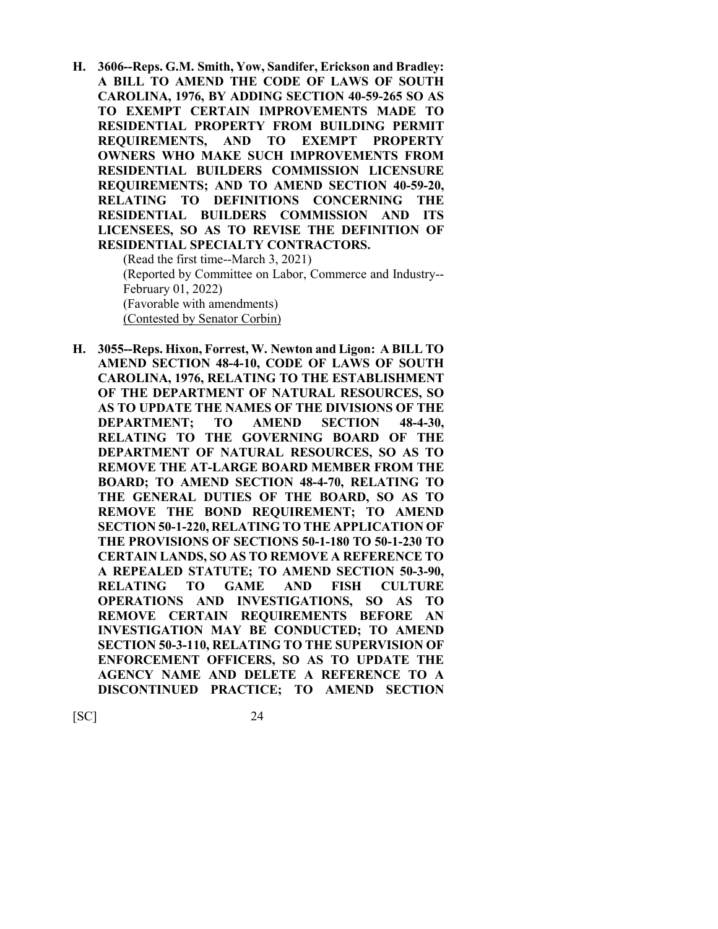**H. 3606--Reps. G.M. Smith, Yow, Sandifer, Erickson and Bradley: A BILL TO AMEND THE CODE OF LAWS OF SOUTH CAROLINA, 1976, BY ADDING SECTION 40-59-265 SO AS TO EXEMPT CERTAIN IMPROVEMENTS MADE TO RESIDENTIAL PROPERTY FROM BUILDING PERMIT REQUIREMENTS, AND TO EXEMPT PROPERTY OWNERS WHO MAKE SUCH IMPROVEMENTS FROM RESIDENTIAL BUILDERS COMMISSION LICENSURE REQUIREMENTS; AND TO AMEND SECTION 40-59-20, RELATING TO DEFINITIONS CONCERNING THE RESIDENTIAL BUILDERS COMMISSION AND ITS LICENSEES, SO AS TO REVISE THE DEFINITION OF RESIDENTIAL SPECIALTY CONTRACTORS.**

(Read the first time--March 3, 2021) (Reported by Committee on Labor, Commerce and Industry-- February 01, 2022) (Favorable with amendments) (Contested by Senator Corbin)

**H. 3055--Reps. Hixon, Forrest, W. Newton and Ligon: A BILL TO AMEND SECTION 48-4-10, CODE OF LAWS OF SOUTH CAROLINA, 1976, RELATING TO THE ESTABLISHMENT OF THE DEPARTMENT OF NATURAL RESOURCES, SO AS TO UPDATE THE NAMES OF THE DIVISIONS OF THE DEPARTMENT; TO AMEND SECTION 48-4-30, RELATING TO THE GOVERNING BOARD OF THE DEPARTMENT OF NATURAL RESOURCES, SO AS TO REMOVE THE AT-LARGE BOARD MEMBER FROM THE BOARD; TO AMEND SECTION 48-4-70, RELATING TO THE GENERAL DUTIES OF THE BOARD, SO AS TO REMOVE THE BOND REQUIREMENT; TO AMEND SECTION 50-1-220, RELATING TO THE APPLICATION OF THE PROVISIONS OF SECTIONS 50-1-180 TO 50-1-230 TO CERTAIN LANDS, SO AS TO REMOVE A REFERENCE TO A REPEALED STATUTE; TO AMEND SECTION 50-3-90, RELATING TO GAME AND FISH CULTURE OPERATIONS AND INVESTIGATIONS, SO AS TO REMOVE CERTAIN REQUIREMENTS BEFORE AN INVESTIGATION MAY BE CONDUCTED; TO AMEND SECTION 50-3-110, RELATING TO THE SUPERVISION OF ENFORCEMENT OFFICERS, SO AS TO UPDATE THE AGENCY NAME AND DELETE A REFERENCE TO A DISCONTINUED PRACTICE; TO AMEND SECTION**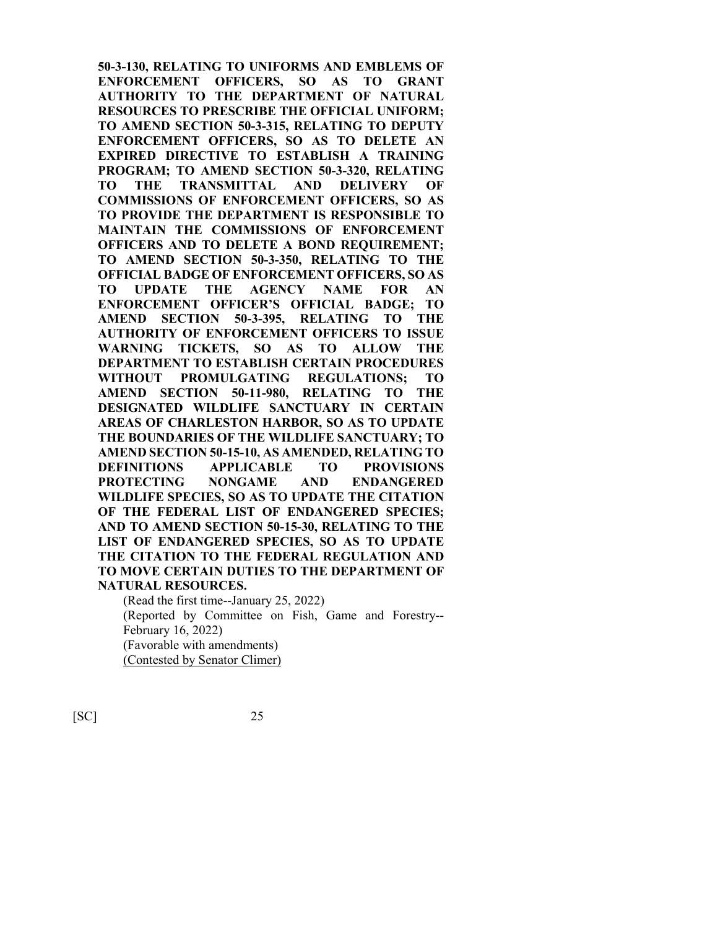**50-3-130, RELATING TO UNIFORMS AND EMBLEMS OF ENFORCEMENT OFFICERS, SO AS TO GRANT AUTHORITY TO THE DEPARTMENT OF NATURAL RESOURCES TO PRESCRIBE THE OFFICIAL UNIFORM; TO AMEND SECTION 50-3-315, RELATING TO DEPUTY ENFORCEMENT OFFICERS, SO AS TO DELETE AN EXPIRED DIRECTIVE TO ESTABLISH A TRAINING PROGRAM; TO AMEND SECTION 50-3-320, RELATING TO THE TRANSMITTAL AND DELIVERY OF COMMISSIONS OF ENFORCEMENT OFFICERS, SO AS TO PROVIDE THE DEPARTMENT IS RESPONSIBLE TO MAINTAIN THE COMMISSIONS OF ENFORCEMENT OFFICERS AND TO DELETE A BOND REQUIREMENT; TO AMEND SECTION 50-3-350, RELATING TO THE OFFICIAL BADGE OF ENFORCEMENT OFFICERS, SO AS TO UPDATE THE AGENCY NAME FOR AN ENFORCEMENT OFFICER'S OFFICIAL BADGE; TO AMEND SECTION 50-3-395, RELATING TO THE AUTHORITY OF ENFORCEMENT OFFICERS TO ISSUE WARNING TICKETS, SO AS TO ALLOW THE DEPARTMENT TO ESTABLISH CERTAIN PROCEDURES WITHOUT PROMULGATING REGULATIONS; TO AMEND SECTION 50-11-980, RELATING TO THE DESIGNATED WILDLIFE SANCTUARY IN CERTAIN AREAS OF CHARLESTON HARBOR, SO AS TO UPDATE THE BOUNDARIES OF THE WILDLIFE SANCTUARY; TO AMEND SECTION 50-15-10, AS AMENDED, RELATING TO DEFINITIONS APPLICABLE TO PROVISIONS PROTECTING NONGAME AND ENDANGERED WILDLIFE SPECIES, SO AS TO UPDATE THE CITATION OF THE FEDERAL LIST OF ENDANGERED SPECIES; AND TO AMEND SECTION 50-15-30, RELATING TO THE LIST OF ENDANGERED SPECIES, SO AS TO UPDATE THE CITATION TO THE FEDERAL REGULATION AND TO MOVE CERTAIN DUTIES TO THE DEPARTMENT OF NATURAL RESOURCES.**

(Read the first time--January 25, 2022) (Reported by Committee on Fish, Game and Forestry-- February 16, 2022) (Favorable with amendments) (Contested by Senator Climer)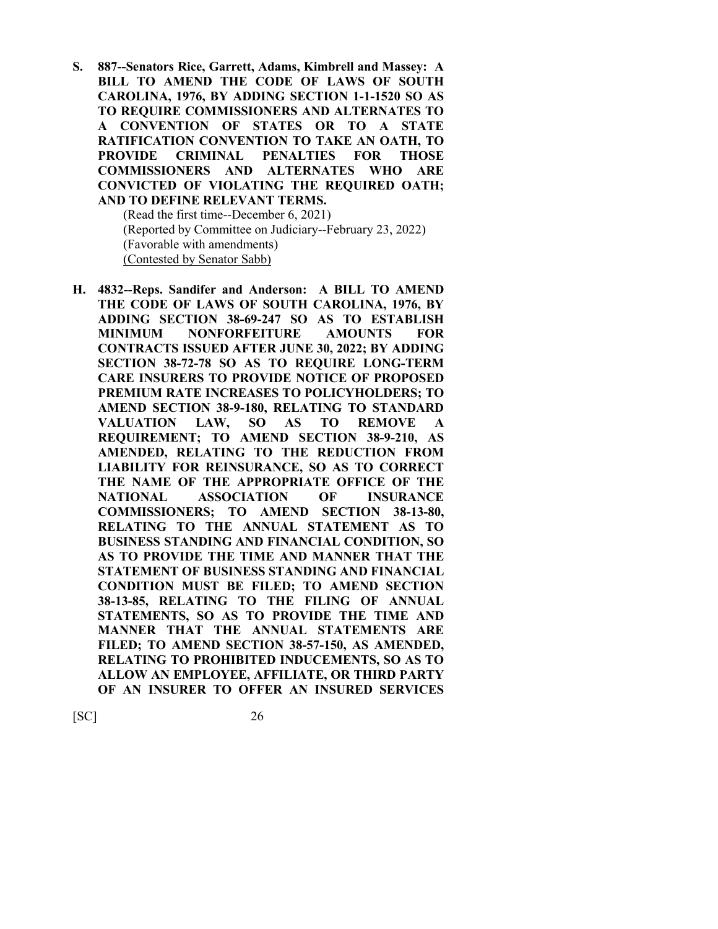**S. 887--Senators Rice, Garrett, Adams, Kimbrell and Massey: A BILL TO AMEND THE CODE OF LAWS OF SOUTH CAROLINA, 1976, BY ADDING SECTION 1-1-1520 SO AS TO REQUIRE COMMISSIONERS AND ALTERNATES TO A CONVENTION OF STATES OR TO A STATE RATIFICATION CONVENTION TO TAKE AN OATH, TO PROVIDE CRIMINAL PENALTIES FOR THOSE COMMISSIONERS AND ALTERNATES WHO ARE CONVICTED OF VIOLATING THE REQUIRED OATH; AND TO DEFINE RELEVANT TERMS.**

(Read the first time--December 6, 2021) (Reported by Committee on Judiciary--February 23, 2022) (Favorable with amendments) (Contested by Senator Sabb)

**H. 4832--Reps. Sandifer and Anderson: A BILL TO AMEND THE CODE OF LAWS OF SOUTH CAROLINA, 1976, BY ADDING SECTION 38-69-247 SO AS TO ESTABLISH MINIMUM NONFORFEITURE AMOUNTS FOR CONTRACTS ISSUED AFTER JUNE 30, 2022; BY ADDING SECTION 38-72-78 SO AS TO REQUIRE LONG-TERM CARE INSURERS TO PROVIDE NOTICE OF PROPOSED PREMIUM RATE INCREASES TO POLICYHOLDERS; TO AMEND SECTION 38-9-180, RELATING TO STANDARD VALUATION LAW, SO AS TO REMOVE A REQUIREMENT; TO AMEND SECTION 38-9-210, AS AMENDED, RELATING TO THE REDUCTION FROM LIABILITY FOR REINSURANCE, SO AS TO CORRECT THE NAME OF THE APPROPRIATE OFFICE OF THE NATIONAL ASSOCIATION OF INSURANCE COMMISSIONERS; TO AMEND SECTION 38-13-80, RELATING TO THE ANNUAL STATEMENT AS TO BUSINESS STANDING AND FINANCIAL CONDITION, SO AS TO PROVIDE THE TIME AND MANNER THAT THE STATEMENT OF BUSINESS STANDING AND FINANCIAL CONDITION MUST BE FILED; TO AMEND SECTION 38-13-85, RELATING TO THE FILING OF ANNUAL STATEMENTS, SO AS TO PROVIDE THE TIME AND MANNER THAT THE ANNUAL STATEMENTS ARE FILED; TO AMEND SECTION 38-57-150, AS AMENDED, RELATING TO PROHIBITED INDUCEMENTS, SO AS TO ALLOW AN EMPLOYEE, AFFILIATE, OR THIRD PARTY OF AN INSURER TO OFFER AN INSURED SERVICES**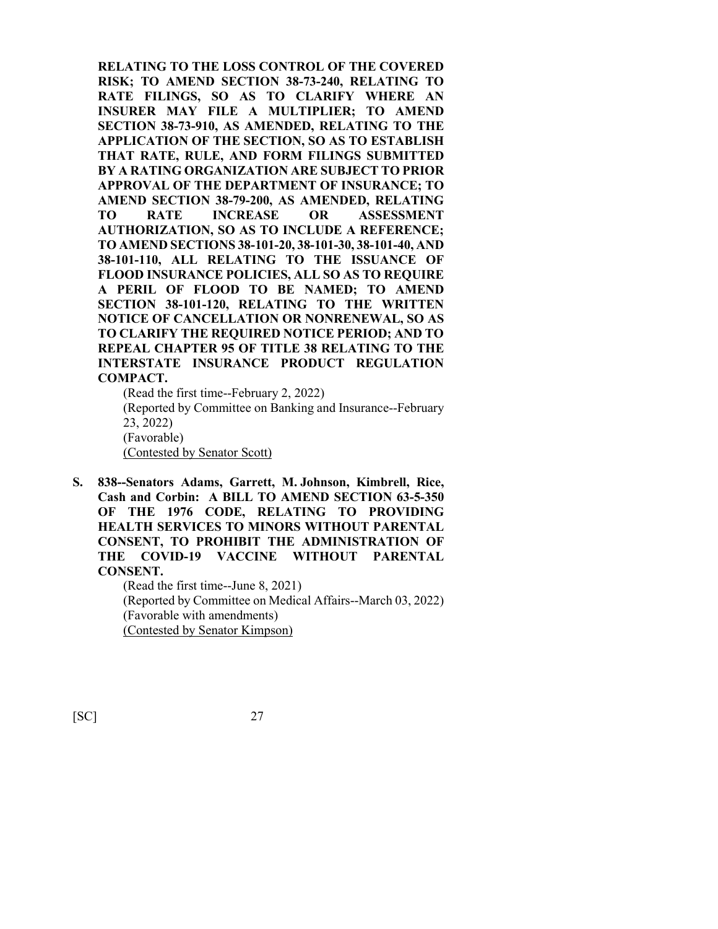**RELATING TO THE LOSS CONTROL OF THE COVERED RISK; TO AMEND SECTION 38-73-240, RELATING TO RATE FILINGS, SO AS TO CLARIFY WHERE AN INSURER MAY FILE A MULTIPLIER; TO AMEND SECTION 38-73-910, AS AMENDED, RELATING TO THE APPLICATION OF THE SECTION, SO AS TO ESTABLISH THAT RATE, RULE, AND FORM FILINGS SUBMITTED BY A RATING ORGANIZATION ARE SUBJECT TO PRIOR APPROVAL OF THE DEPARTMENT OF INSURANCE; TO AMEND SECTION 38-79-200, AS AMENDED, RELATING TO RATE INCREASE OR ASSESSMENT AUTHORIZATION, SO AS TO INCLUDE A REFERENCE; TO AMEND SECTIONS 38-101-20, 38-101-30, 38-101-40, AND 38-101-110, ALL RELATING TO THE ISSUANCE OF FLOOD INSURANCE POLICIES, ALL SO AS TO REQUIRE A PERIL OF FLOOD TO BE NAMED; TO AMEND SECTION 38-101-120, RELATING TO THE WRITTEN NOTICE OF CANCELLATION OR NONRENEWAL, SO AS TO CLARIFY THE REQUIRED NOTICE PERIOD; AND TO REPEAL CHAPTER 95 OF TITLE 38 RELATING TO THE INTERSTATE INSURANCE PRODUCT REGULATION COMPACT.**

(Read the first time--February 2, 2022) (Reported by Committee on Banking and Insurance--February 23, 2022) (Favorable) (Contested by Senator Scott)

**S. 838--Senators Adams, Garrett, M. Johnson, Kimbrell, Rice, Cash and Corbin: A BILL TO AMEND SECTION 63-5-350 OF THE 1976 CODE, RELATING TO PROVIDING HEALTH SERVICES TO MINORS WITHOUT PARENTAL CONSENT, TO PROHIBIT THE ADMINISTRATION OF THE COVID-19 VACCINE WITHOUT PARENTAL CONSENT.**

> (Read the first time--June 8, 2021) (Reported by Committee on Medical Affairs--March 03, 2022) (Favorable with amendments) (Contested by Senator Kimpson)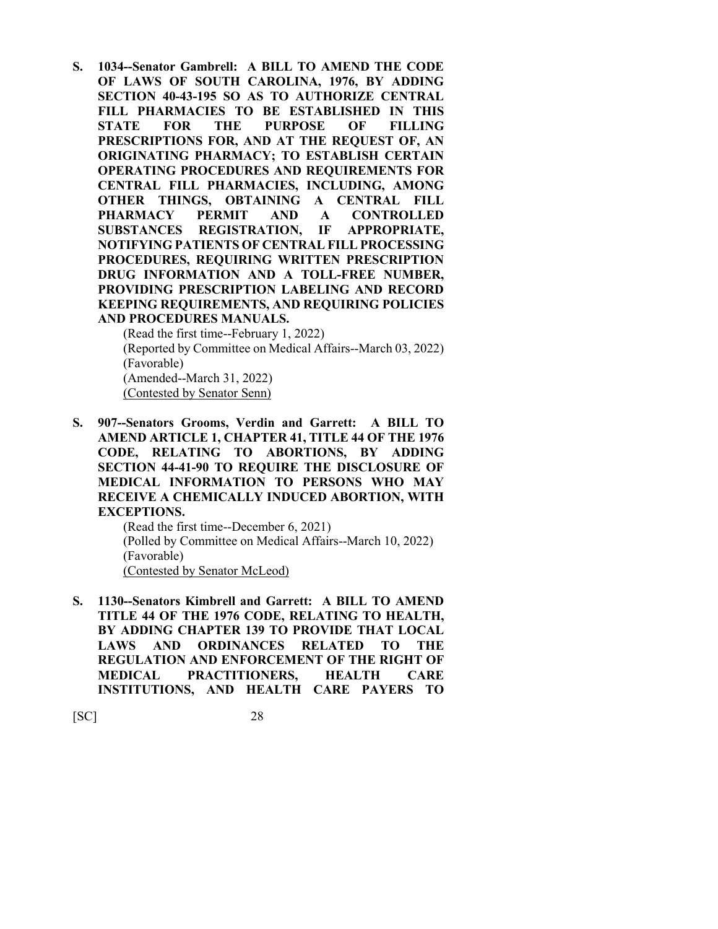**S. 1034--Senator Gambrell: A BILL TO AMEND THE CODE OF LAWS OF SOUTH CAROLINA, 1976, BY ADDING SECTION 40-43-195 SO AS TO AUTHORIZE CENTRAL FILL PHARMACIES TO BE ESTABLISHED IN THIS STATE FOR THE PURPOSE OF FILLING PRESCRIPTIONS FOR, AND AT THE REQUEST OF, AN ORIGINATING PHARMACY; TO ESTABLISH CERTAIN OPERATING PROCEDURES AND REQUIREMENTS FOR CENTRAL FILL PHARMACIES, INCLUDING, AMONG OTHER THINGS, OBTAINING A CENTRAL FILL PHARMACY PERMIT AND A CONTROLLED SUBSTANCES REGISTRATION, IF APPROPRIATE, NOTIFYING PATIENTS OF CENTRAL FILL PROCESSING PROCEDURES, REQUIRING WRITTEN PRESCRIPTION DRUG INFORMATION AND A TOLL-FREE NUMBER, PROVIDING PRESCRIPTION LABELING AND RECORD KEEPING REQUIREMENTS, AND REQUIRING POLICIES AND PROCEDURES MANUALS.**

(Read the first time--February 1, 2022) (Reported by Committee on Medical Affairs--March 03, 2022) (Favorable) (Amended--March 31, 2022) (Contested by Senator Senn)

**S. 907--Senators Grooms, Verdin and Garrett: A BILL TO AMEND ARTICLE 1, CHAPTER 41, TITLE 44 OF THE 1976 CODE, RELATING TO ABORTIONS, BY ADDING SECTION 44-41-90 TO REQUIRE THE DISCLOSURE OF MEDICAL INFORMATION TO PERSONS WHO MAY RECEIVE A CHEMICALLY INDUCED ABORTION, WITH EXCEPTIONS.**

(Read the first time--December 6, 2021) (Polled by Committee on Medical Affairs--March 10, 2022) (Favorable) (Contested by Senator McLeod)

**S. 1130--Senators Kimbrell and Garrett: A BILL TO AMEND TITLE 44 OF THE 1976 CODE, RELATING TO HEALTH, BY ADDING CHAPTER 139 TO PROVIDE THAT LOCAL LAWS AND ORDINANCES RELATED TO THE REGULATION AND ENFORCEMENT OF THE RIGHT OF MEDICAL PRACTITIONERS, HEALTH CARE INSTITUTIONS, AND HEALTH CARE PAYERS TO**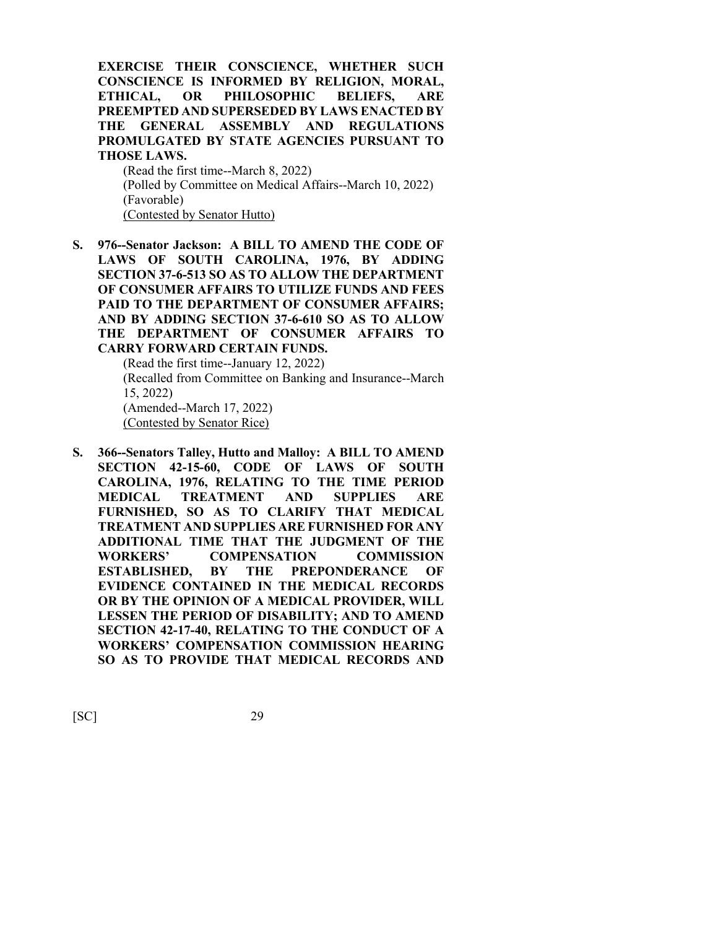**EXERCISE THEIR CONSCIENCE, WHETHER SUCH CONSCIENCE IS INFORMED BY RELIGION, MORAL, ETHICAL, OR PHILOSOPHIC BELIEFS, ARE PREEMPTED AND SUPERSEDED BY LAWS ENACTED BY THE GENERAL ASSEMBLY AND REGULATIONS PROMULGATED BY STATE AGENCIES PURSUANT TO THOSE LAWS.**

(Read the first time--March 8, 2022) (Polled by Committee on Medical Affairs--March 10, 2022) (Favorable) (Contested by Senator Hutto)

**S. 976--Senator Jackson: A BILL TO AMEND THE CODE OF LAWS OF SOUTH CAROLINA, 1976, BY ADDING SECTION 37-6-513 SO AS TO ALLOW THE DEPARTMENT OF CONSUMER AFFAIRS TO UTILIZE FUNDS AND FEES PAID TO THE DEPARTMENT OF CONSUMER AFFAIRS; AND BY ADDING SECTION 37-6-610 SO AS TO ALLOW THE DEPARTMENT OF CONSUMER AFFAIRS TO CARRY FORWARD CERTAIN FUNDS.**

> (Read the first time--January 12, 2022) (Recalled from Committee on Banking and Insurance--March 15, 2022) (Amended--March 17, 2022) (Contested by Senator Rice)

**S. 366--Senators Talley, Hutto and Malloy: A BILL TO AMEND SECTION 42-15-60, CODE OF LAWS OF SOUTH CAROLINA, 1976, RELATING TO THE TIME PERIOD MEDICAL TREATMENT AND SUPPLIES ARE FURNISHED, SO AS TO CLARIFY THAT MEDICAL TREATMENT AND SUPPLIES ARE FURNISHED FOR ANY ADDITIONAL TIME THAT THE JUDGMENT OF THE WORKERS' COMPENSATION COMMISSION ESTABLISHED, BY THE PREPONDERANCE OF EVIDENCE CONTAINED IN THE MEDICAL RECORDS OR BY THE OPINION OF A MEDICAL PROVIDER, WILL LESSEN THE PERIOD OF DISABILITY; AND TO AMEND SECTION 42-17-40, RELATING TO THE CONDUCT OF A WORKERS' COMPENSATION COMMISSION HEARING SO AS TO PROVIDE THAT MEDICAL RECORDS AND**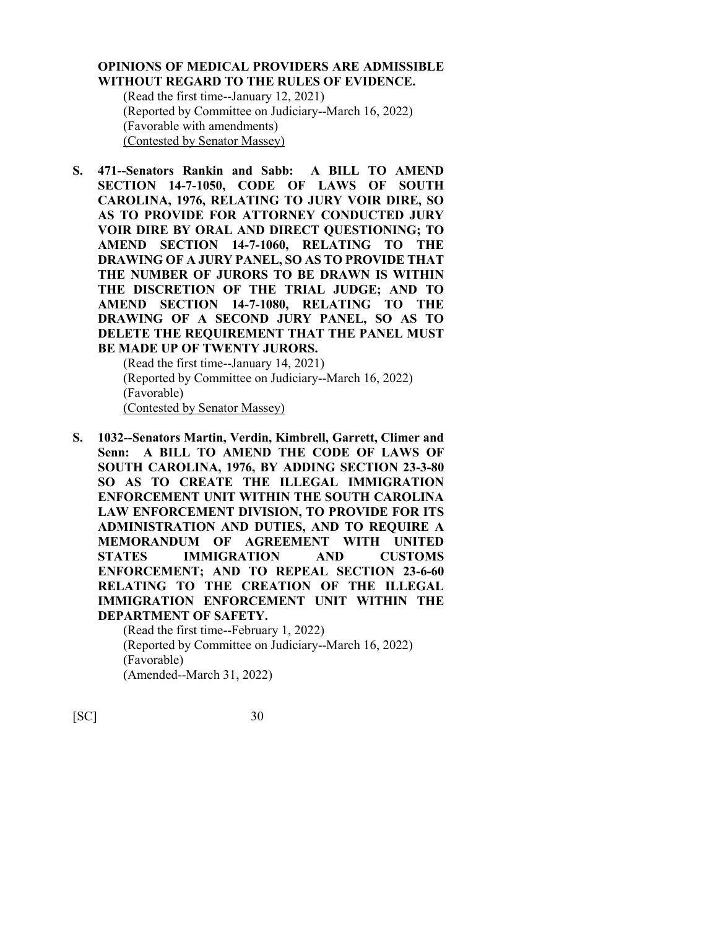# **OPINIONS OF MEDICAL PROVIDERS ARE ADMISSIBLE WITHOUT REGARD TO THE RULES OF EVIDENCE.**

(Read the first time--January 12, 2021) (Reported by Committee on Judiciary--March 16, 2022) (Favorable with amendments) (Contested by Senator Massey)

**S. 471--Senators Rankin and Sabb: A BILL TO AMEND SECTION 14-7-1050, CODE OF LAWS OF SOUTH CAROLINA, 1976, RELATING TO JURY VOIR DIRE, SO AS TO PROVIDE FOR ATTORNEY CONDUCTED JURY VOIR DIRE BY ORAL AND DIRECT QUESTIONING; TO AMEND SECTION 14-7-1060, RELATING TO THE DRAWING OF A JURY PANEL, SO AS TO PROVIDE THAT THE NUMBER OF JURORS TO BE DRAWN IS WITHIN THE DISCRETION OF THE TRIAL JUDGE; AND TO AMEND SECTION 14-7-1080, RELATING TO THE DRAWING OF A SECOND JURY PANEL, SO AS TO DELETE THE REQUIREMENT THAT THE PANEL MUST BE MADE UP OF TWENTY JURORS.**

> (Read the first time--January 14, 2021) (Reported by Committee on Judiciary--March 16, 2022) (Favorable) (Contested by Senator Massey)

**S. 1032--Senators Martin, Verdin, Kimbrell, Garrett, Climer and Senn: A BILL TO AMEND THE CODE OF LAWS OF SOUTH CAROLINA, 1976, BY ADDING SECTION 23-3-80 SO AS TO CREATE THE ILLEGAL IMMIGRATION ENFORCEMENT UNIT WITHIN THE SOUTH CAROLINA LAW ENFORCEMENT DIVISION, TO PROVIDE FOR ITS ADMINISTRATION AND DUTIES, AND TO REQUIRE A MEMORANDUM OF AGREEMENT WITH UNITED STATES IMMIGRATION AND CUSTOMS ENFORCEMENT; AND TO REPEAL SECTION 23-6-60 RELATING TO THE CREATION OF THE ILLEGAL IMMIGRATION ENFORCEMENT UNIT WITHIN THE DEPARTMENT OF SAFETY.**

> (Read the first time--February 1, 2022) (Reported by Committee on Judiciary--March 16, 2022) (Favorable) (Amended--March 31, 2022)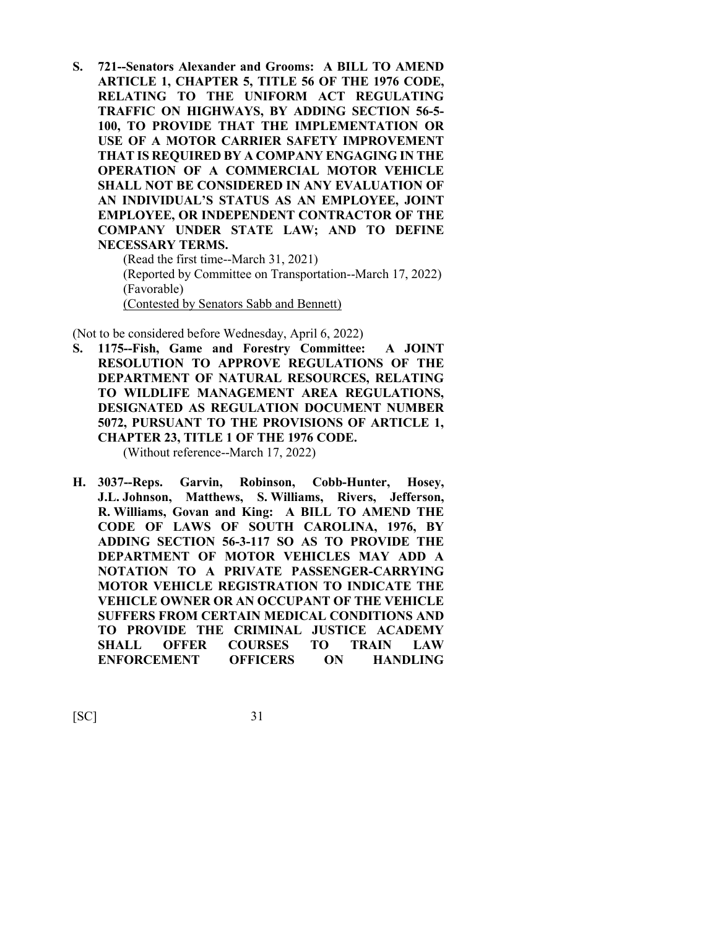**S. 721--Senators Alexander and Grooms: A BILL TO AMEND ARTICLE 1, CHAPTER 5, TITLE 56 OF THE 1976 CODE, RELATING TO THE UNIFORM ACT REGULATING TRAFFIC ON HIGHWAYS, BY ADDING SECTION 56-5- 100, TO PROVIDE THAT THE IMPLEMENTATION OR USE OF A MOTOR CARRIER SAFETY IMPROVEMENT THAT IS REQUIRED BY A COMPANY ENGAGING IN THE OPERATION OF A COMMERCIAL MOTOR VEHICLE SHALL NOT BE CONSIDERED IN ANY EVALUATION OF AN INDIVIDUAL'S STATUS AS AN EMPLOYEE, JOINT EMPLOYEE, OR INDEPENDENT CONTRACTOR OF THE COMPANY UNDER STATE LAW; AND TO DEFINE NECESSARY TERMS.**

(Read the first time--March 31, 2021) (Reported by Committee on Transportation--March 17, 2022) (Favorable) (Contested by Senators Sabb and Bennett)

(Not to be considered before Wednesday, April 6, 2022)

**S. 1175--Fish, Game and Forestry Committee: A JOINT RESOLUTION TO APPROVE REGULATIONS OF THE DEPARTMENT OF NATURAL RESOURCES, RELATING TO WILDLIFE MANAGEMENT AREA REGULATIONS, DESIGNATED AS REGULATION DOCUMENT NUMBER 5072, PURSUANT TO THE PROVISIONS OF ARTICLE 1, CHAPTER 23, TITLE 1 OF THE 1976 CODE.**

(Without reference--March 17, 2022)

**H. 3037--Reps. Garvin, Robinson, Cobb-Hunter, Hosey, J.L. Johnson, Matthews, S. Williams, Rivers, Jefferson, R. Williams, Govan and King: A BILL TO AMEND THE CODE OF LAWS OF SOUTH CAROLINA, 1976, BY ADDING SECTION 56-3-117 SO AS TO PROVIDE THE DEPARTMENT OF MOTOR VEHICLES MAY ADD A NOTATION TO A PRIVATE PASSENGER-CARRYING MOTOR VEHICLE REGISTRATION TO INDICATE THE VEHICLE OWNER OR AN OCCUPANT OF THE VEHICLE SUFFERS FROM CERTAIN MEDICAL CONDITIONS AND TO PROVIDE THE CRIMINAL JUSTICE ACADEMY SHALL OFFER COURSES TO TRAIN LAW ENFORCEMENT OFFICERS ON HANDLING**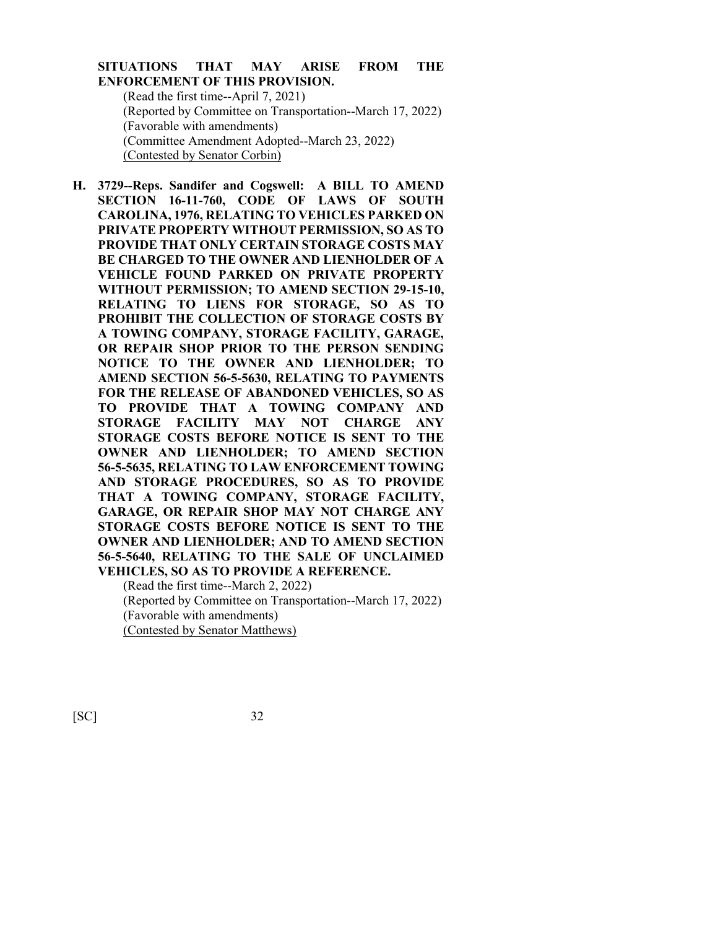# **SITUATIONS THAT MAY ARISE FROM THE ENFORCEMENT OF THIS PROVISION.**

(Read the first time--April 7, 2021) (Reported by Committee on Transportation--March 17, 2022) (Favorable with amendments) (Committee Amendment Adopted--March 23, 2022) (Contested by Senator Corbin)

**H. 3729--Reps. Sandifer and Cogswell: A BILL TO AMEND SECTION 16-11-760, CODE OF LAWS OF SOUTH CAROLINA, 1976, RELATING TO VEHICLES PARKED ON PRIVATE PROPERTY WITHOUT PERMISSION, SO AS TO PROVIDE THAT ONLY CERTAIN STORAGE COSTS MAY BE CHARGED TO THE OWNER AND LIENHOLDER OF A VEHICLE FOUND PARKED ON PRIVATE PROPERTY WITHOUT PERMISSION; TO AMEND SECTION 29-15-10, RELATING TO LIENS FOR STORAGE, SO AS TO PROHIBIT THE COLLECTION OF STORAGE COSTS BY A TOWING COMPANY, STORAGE FACILITY, GARAGE, OR REPAIR SHOP PRIOR TO THE PERSON SENDING NOTICE TO THE OWNER AND LIENHOLDER; TO AMEND SECTION 56-5-5630, RELATING TO PAYMENTS FOR THE RELEASE OF ABANDONED VEHICLES, SO AS TO PROVIDE THAT A TOWING COMPANY AND STORAGE FACILITY MAY NOT CHARGE ANY STORAGE COSTS BEFORE NOTICE IS SENT TO THE OWNER AND LIENHOLDER; TO AMEND SECTION 56-5-5635, RELATING TO LAW ENFORCEMENT TOWING AND STORAGE PROCEDURES, SO AS TO PROVIDE THAT A TOWING COMPANY, STORAGE FACILITY, GARAGE, OR REPAIR SHOP MAY NOT CHARGE ANY STORAGE COSTS BEFORE NOTICE IS SENT TO THE OWNER AND LIENHOLDER; AND TO AMEND SECTION 56-5-5640, RELATING TO THE SALE OF UNCLAIMED VEHICLES, SO AS TO PROVIDE A REFERENCE.**

(Read the first time--March 2, 2022) (Reported by Committee on Transportation--March 17, 2022) (Favorable with amendments) (Contested by Senator Matthews)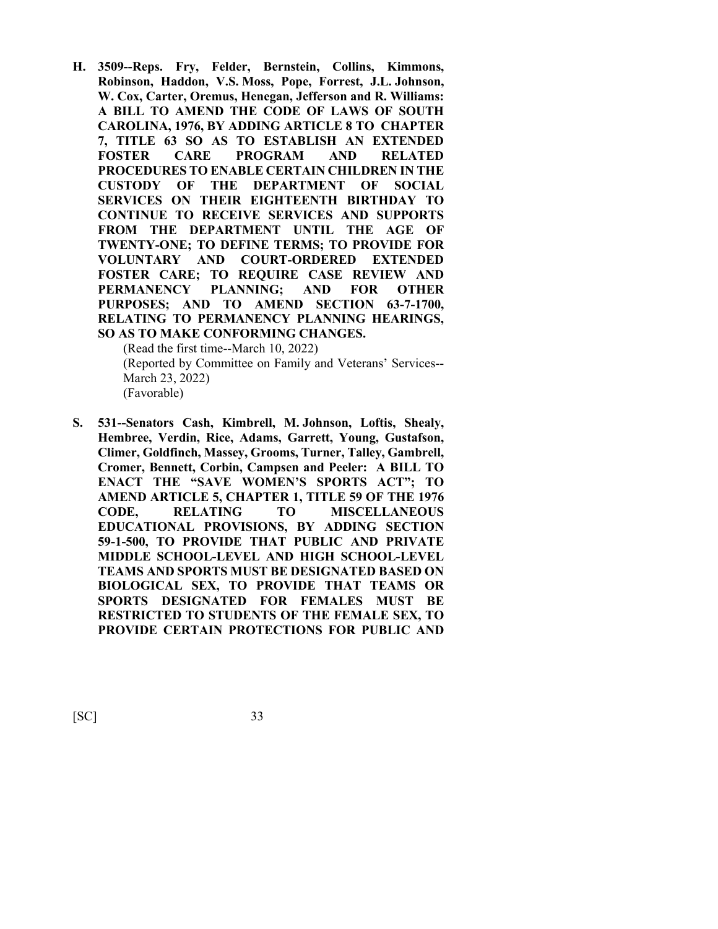**H. 3509--Reps. Fry, Felder, Bernstein, Collins, Kimmons, Robinson, Haddon, V.S. Moss, Pope, Forrest, J.L. Johnson, W. Cox, Carter, Oremus, Henegan, Jefferson and R. Williams: A BILL TO AMEND THE CODE OF LAWS OF SOUTH CAROLINA, 1976, BY ADDING ARTICLE 8 TO CHAPTER 7, TITLE 63 SO AS TO ESTABLISH AN EXTENDED FOSTER CARE PROGRAM AND RELATED PROCEDURES TO ENABLE CERTAIN CHILDREN IN THE CUSTODY OF THE DEPARTMENT OF SOCIAL SERVICES ON THEIR EIGHTEENTH BIRTHDAY TO CONTINUE TO RECEIVE SERVICES AND SUPPORTS FROM THE DEPARTMENT UNTIL THE AGE OF TWENTY-ONE; TO DEFINE TERMS; TO PROVIDE FOR VOLUNTARY AND COURT-ORDERED EXTENDED FOSTER CARE; TO REQUIRE CASE REVIEW AND PERMANENCY PLANNING; AND FOR OTHER PURPOSES; AND TO AMEND SECTION 63-7-1700, RELATING TO PERMANENCY PLANNING HEARINGS, SO AS TO MAKE CONFORMING CHANGES.**

(Read the first time--March 10, 2022) (Reported by Committee on Family and Veterans' Services-- March 23, 2022) (Favorable)

**S. 531--Senators Cash, Kimbrell, M. Johnson, Loftis, Shealy, Hembree, Verdin, Rice, Adams, Garrett, Young, Gustafson, Climer, Goldfinch, Massey, Grooms, Turner, Talley, Gambrell, Cromer, Bennett, Corbin, Campsen and Peeler: A BILL TO ENACT THE "SAVE WOMEN'S SPORTS ACT"; TO AMEND ARTICLE 5, CHAPTER 1, TITLE 59 OF THE 1976 CODE, RELATING TO MISCELLANEOUS EDUCATIONAL PROVISIONS, BY ADDING SECTION 59-1-500, TO PROVIDE THAT PUBLIC AND PRIVATE MIDDLE SCHOOL-LEVEL AND HIGH SCHOOL-LEVEL TEAMS AND SPORTS MUST BE DESIGNATED BASED ON BIOLOGICAL SEX, TO PROVIDE THAT TEAMS OR SPORTS DESIGNATED FOR FEMALES MUST BE RESTRICTED TO STUDENTS OF THE FEMALE SEX, TO PROVIDE CERTAIN PROTECTIONS FOR PUBLIC AND**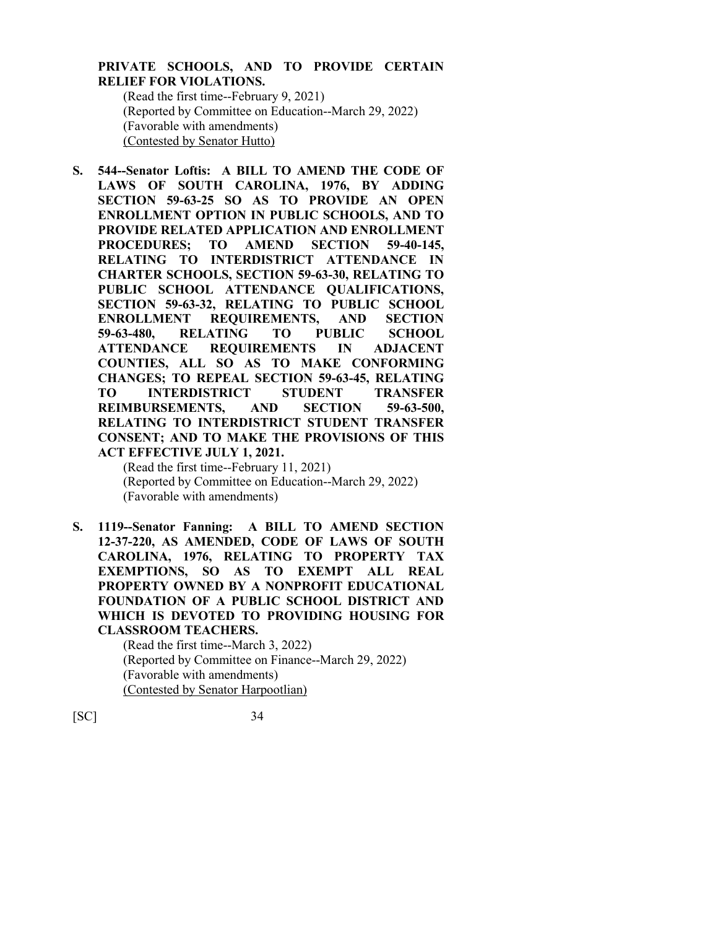# **PRIVATE SCHOOLS, AND TO PROVIDE CERTAIN RELIEF FOR VIOLATIONS.**

(Read the first time--February 9, 2021) (Reported by Committee on Education--March 29, 2022) (Favorable with amendments) (Contested by Senator Hutto)

**S. 544--Senator Loftis: A BILL TO AMEND THE CODE OF LAWS OF SOUTH CAROLINA, 1976, BY ADDING SECTION 59-63-25 SO AS TO PROVIDE AN OPEN ENROLLMENT OPTION IN PUBLIC SCHOOLS, AND TO PROVIDE RELATED APPLICATION AND ENROLLMENT PROCEDURES; TO AMEND SECTION 59-40-145, RELATING TO INTERDISTRICT ATTENDANCE IN CHARTER SCHOOLS, SECTION 59-63-30, RELATING TO PUBLIC SCHOOL ATTENDANCE QUALIFICATIONS, SECTION 59-63-32, RELATING TO PUBLIC SCHOOL ENROLLMENT REQUIREMENTS, AND SECTION 59-63-480, RELATING TO PUBLIC SCHOOL ATTENDANCE REQUIREMENTS IN ADJACENT COUNTIES, ALL SO AS TO MAKE CONFORMING CHANGES; TO REPEAL SECTION 59-63-45, RELATING TO INTERDISTRICT STUDENT TRANSFER REIMBURSEMENTS, AND SECTION 59-63-500, RELATING TO INTERDISTRICT STUDENT TRANSFER CONSENT; AND TO MAKE THE PROVISIONS OF THIS ACT EFFECTIVE JULY 1, 2021.**

(Read the first time--February 11, 2021) (Reported by Committee on Education--March 29, 2022) (Favorable with amendments)

**S. 1119--Senator Fanning: A BILL TO AMEND SECTION 12-37-220, AS AMENDED, CODE OF LAWS OF SOUTH CAROLINA, 1976, RELATING TO PROPERTY TAX EXEMPTIONS, SO AS TO EXEMPT ALL REAL PROPERTY OWNED BY A NONPROFIT EDUCATIONAL FOUNDATION OF A PUBLIC SCHOOL DISTRICT AND WHICH IS DEVOTED TO PROVIDING HOUSING FOR CLASSROOM TEACHERS.**

(Read the first time--March 3, 2022) (Reported by Committee on Finance--March 29, 2022) (Favorable with amendments) (Contested by Senator Harpootlian)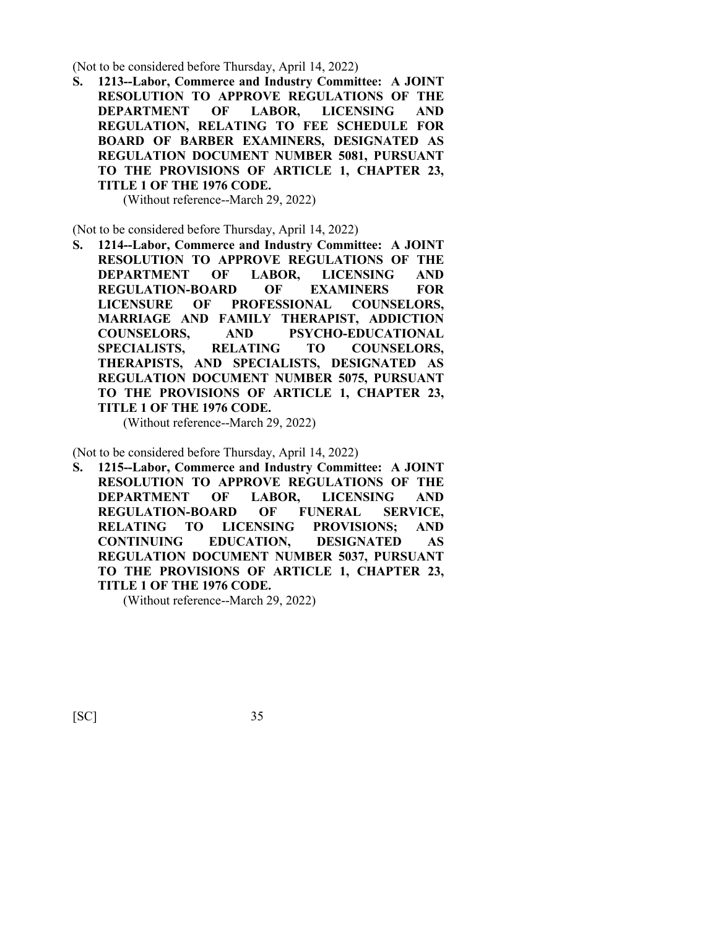(Not to be considered before Thursday, April 14, 2022)

**S. 1213--Labor, Commerce and Industry Committee: A JOINT RESOLUTION TO APPROVE REGULATIONS OF THE DEPARTMENT OF LABOR, LICENSING AND REGULATION, RELATING TO FEE SCHEDULE FOR BOARD OF BARBER EXAMINERS, DESIGNATED AS REGULATION DOCUMENT NUMBER 5081, PURSUANT TO THE PROVISIONS OF ARTICLE 1, CHAPTER 23, TITLE 1 OF THE 1976 CODE.**

(Without reference--March 29, 2022)

(Not to be considered before Thursday, April 14, 2022)

**S. 1214--Labor, Commerce and Industry Committee: A JOINT RESOLUTION TO APPROVE REGULATIONS OF THE DEPARTMENT OF LABOR, LICENSING AND REGULATION-BOARD OF EXAMINERS FOR LICENSURE OF PROFESSIONAL COUNSELORS, MARRIAGE AND FAMILY THERAPIST, ADDICTION COUNSELORS, AND PSYCHO-EDUCATIONAL SPECIALISTS, RELATING TO COUNSELORS, THERAPISTS, AND SPECIALISTS, DESIGNATED AS REGULATION DOCUMENT NUMBER 5075, PURSUANT TO THE PROVISIONS OF ARTICLE 1, CHAPTER 23, TITLE 1 OF THE 1976 CODE.**

(Without reference--March 29, 2022)

(Not to be considered before Thursday, April 14, 2022)

**S. 1215--Labor, Commerce and Industry Committee: A JOINT RESOLUTION TO APPROVE REGULATIONS OF THE DEPARTMENT OF LABOR, LICENSING AND REGULATION-BOARD OF FUNERAL SERVICE, RELATING TO LICENSING PROVISIONS; AND CONTINUING EDUCATION, DESIGNATED AS REGULATION DOCUMENT NUMBER 5037, PURSUANT TO THE PROVISIONS OF ARTICLE 1, CHAPTER 23, TITLE 1 OF THE 1976 CODE.**

(Without reference--March 29, 2022)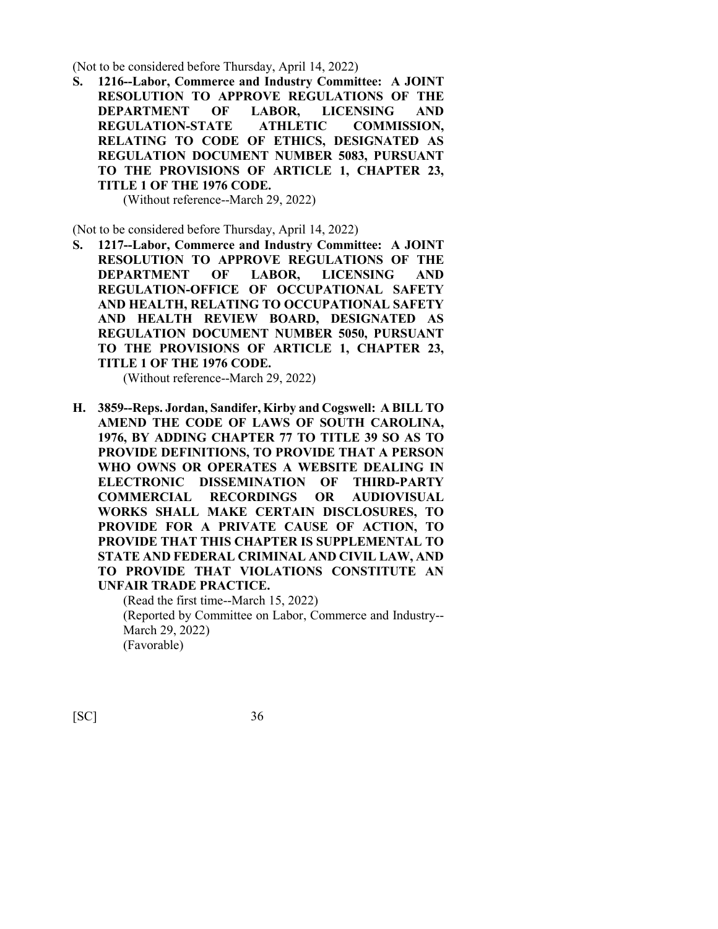(Not to be considered before Thursday, April 14, 2022)

**S. 1216--Labor, Commerce and Industry Committee: A JOINT RESOLUTION TO APPROVE REGULATIONS OF THE DEPARTMENT OF LABOR, LICENSING AND REGULATION-STATE ATHLETIC COMMISSION, RELATING TO CODE OF ETHICS, DESIGNATED AS REGULATION DOCUMENT NUMBER 5083, PURSUANT TO THE PROVISIONS OF ARTICLE 1, CHAPTER 23, TITLE 1 OF THE 1976 CODE.**

(Without reference--March 29, 2022)

(Not to be considered before Thursday, April 14, 2022)

**S. 1217--Labor, Commerce and Industry Committee: A JOINT RESOLUTION TO APPROVE REGULATIONS OF THE DEPARTMENT OF LABOR, LICENSING AND REGULATION-OFFICE OF OCCUPATIONAL SAFETY AND HEALTH, RELATING TO OCCUPATIONAL SAFETY AND HEALTH REVIEW BOARD, DESIGNATED AS REGULATION DOCUMENT NUMBER 5050, PURSUANT TO THE PROVISIONS OF ARTICLE 1, CHAPTER 23, TITLE 1 OF THE 1976 CODE.**

(Without reference--March 29, 2022)

**H. 3859--Reps. Jordan, Sandifer, Kirby and Cogswell: A BILL TO AMEND THE CODE OF LAWS OF SOUTH CAROLINA, 1976, BY ADDING CHAPTER 77 TO TITLE 39 SO AS TO PROVIDE DEFINITIONS, TO PROVIDE THAT A PERSON WHO OWNS OR OPERATES A WEBSITE DEALING IN ELECTRONIC DISSEMINATION OF THIRD-PARTY COMMERCIAL RECORDINGS OR AUDIOVISUAL WORKS SHALL MAKE CERTAIN DISCLOSURES, TO PROVIDE FOR A PRIVATE CAUSE OF ACTION, TO PROVIDE THAT THIS CHAPTER IS SUPPLEMENTAL TO STATE AND FEDERAL CRIMINAL AND CIVIL LAW, AND TO PROVIDE THAT VIOLATIONS CONSTITUTE AN UNFAIR TRADE PRACTICE.**

> (Read the first time--March 15, 2022) (Reported by Committee on Labor, Commerce and Industry-- March 29, 2022) (Favorable)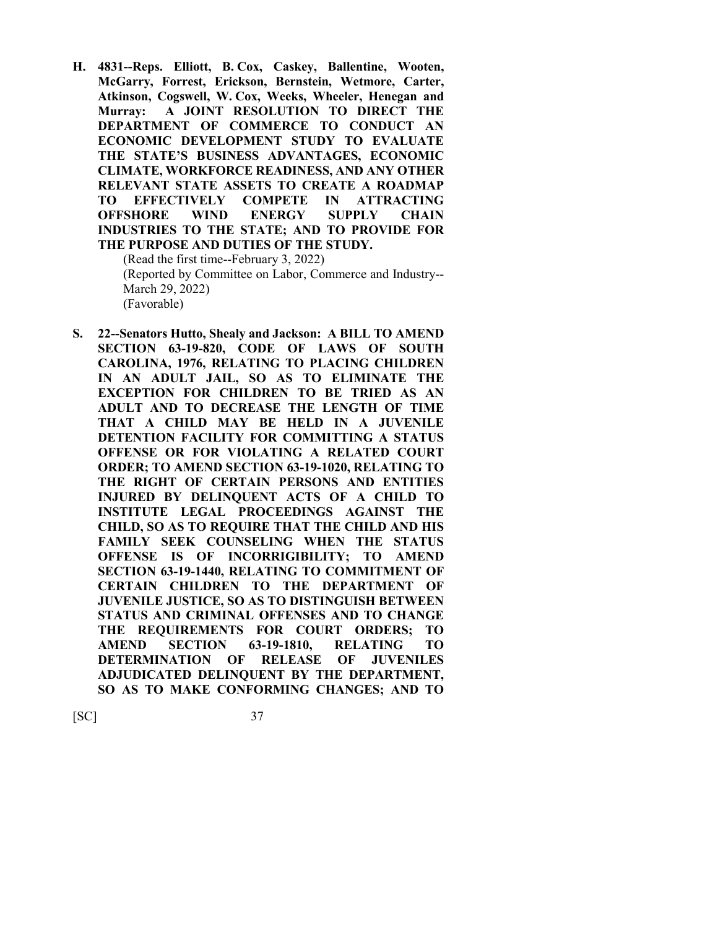**H. 4831--Reps. Elliott, B. Cox, Caskey, Ballentine, Wooten, McGarry, Forrest, Erickson, Bernstein, Wetmore, Carter, Atkinson, Cogswell, W. Cox, Weeks, Wheeler, Henegan and Murray: A JOINT RESOLUTION TO DIRECT THE DEPARTMENT OF COMMERCE TO CONDUCT AN ECONOMIC DEVELOPMENT STUDY TO EVALUATE THE STATE'S BUSINESS ADVANTAGES, ECONOMIC CLIMATE, WORKFORCE READINESS, AND ANY OTHER RELEVANT STATE ASSETS TO CREATE A ROADMAP TO EFFECTIVELY COMPETE IN ATTRACTING OFFSHORE WIND ENERGY SUPPLY CHAIN INDUSTRIES TO THE STATE; AND TO PROVIDE FOR THE PURPOSE AND DUTIES OF THE STUDY.**

(Read the first time--February 3, 2022) (Reported by Committee on Labor, Commerce and Industry-- March 29, 2022) (Favorable)

**S. 22--Senators Hutto, Shealy and Jackson: A BILL TO AMEND SECTION 63-19-820, CODE OF LAWS OF SOUTH CAROLINA, 1976, RELATING TO PLACING CHILDREN IN AN ADULT JAIL, SO AS TO ELIMINATE THE EXCEPTION FOR CHILDREN TO BE TRIED AS AN ADULT AND TO DECREASE THE LENGTH OF TIME THAT A CHILD MAY BE HELD IN A JUVENILE DETENTION FACILITY FOR COMMITTING A STATUS OFFENSE OR FOR VIOLATING A RELATED COURT ORDER; TO AMEND SECTION 63-19-1020, RELATING TO THE RIGHT OF CERTAIN PERSONS AND ENTITIES INJURED BY DELINQUENT ACTS OF A CHILD TO INSTITUTE LEGAL PROCEEDINGS AGAINST THE CHILD, SO AS TO REQUIRE THAT THE CHILD AND HIS FAMILY SEEK COUNSELING WHEN THE STATUS OFFENSE IS OF INCORRIGIBILITY; TO AMEND SECTION 63-19-1440, RELATING TO COMMITMENT OF CERTAIN CHILDREN TO THE DEPARTMENT OF JUVENILE JUSTICE, SO AS TO DISTINGUISH BETWEEN STATUS AND CRIMINAL OFFENSES AND TO CHANGE THE REQUIREMENTS FOR COURT ORDERS; TO AMEND SECTION 63-19-1810, RELATING TO DETERMINATION OF RELEASE OF JUVENILES ADJUDICATED DELINQUENT BY THE DEPARTMENT, SO AS TO MAKE CONFORMING CHANGES; AND TO**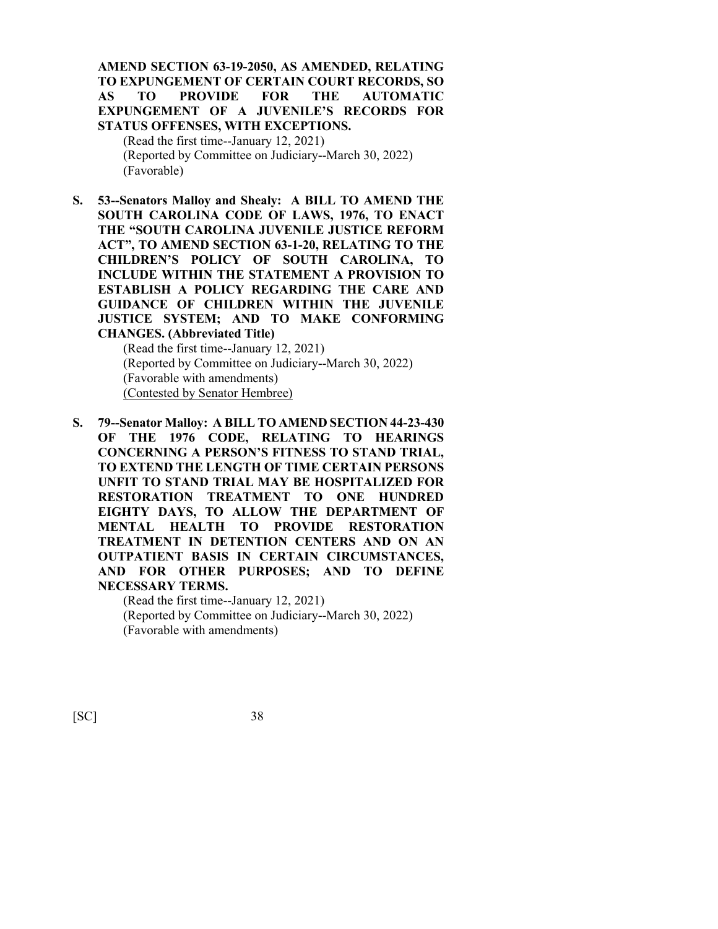# **AMEND SECTION 63-19-2050, AS AMENDED, RELATING TO EXPUNGEMENT OF CERTAIN COURT RECORDS, SO AS TO PROVIDE FOR THE AUTOMATIC EXPUNGEMENT OF A JUVENILE'S RECORDS FOR STATUS OFFENSES, WITH EXCEPTIONS.**

(Read the first time--January 12, 2021) (Reported by Committee on Judiciary--March 30, 2022) (Favorable)

**S. 53--Senators Malloy and Shealy: A BILL TO AMEND THE SOUTH CAROLINA CODE OF LAWS, 1976, TO ENACT THE "SOUTH CAROLINA JUVENILE JUSTICE REFORM ACT", TO AMEND SECTION 63-1-20, RELATING TO THE CHILDREN'S POLICY OF SOUTH CAROLINA, TO INCLUDE WITHIN THE STATEMENT A PROVISION TO ESTABLISH A POLICY REGARDING THE CARE AND GUIDANCE OF CHILDREN WITHIN THE JUVENILE JUSTICE SYSTEM; AND TO MAKE CONFORMING CHANGES. (Abbreviated Title)**

(Read the first time--January 12, 2021) (Reported by Committee on Judiciary--March 30, 2022) (Favorable with amendments) (Contested by Senator Hembree)

**S. 79--Senator Malloy: A BILL TO AMEND SECTION 44-23-430 OF THE 1976 CODE, RELATING TO HEARINGS CONCERNING A PERSON'S FITNESS TO STAND TRIAL, TO EXTEND THE LENGTH OF TIME CERTAIN PERSONS UNFIT TO STAND TRIAL MAY BE HOSPITALIZED FOR RESTORATION TREATMENT TO ONE HUNDRED EIGHTY DAYS, TO ALLOW THE DEPARTMENT OF MENTAL HEALTH TO PROVIDE RESTORATION TREATMENT IN DETENTION CENTERS AND ON AN OUTPATIENT BASIS IN CERTAIN CIRCUMSTANCES, AND FOR OTHER PURPOSES; AND TO DEFINE NECESSARY TERMS.**

(Read the first time--January 12, 2021) (Reported by Committee on Judiciary--March 30, 2022) (Favorable with amendments)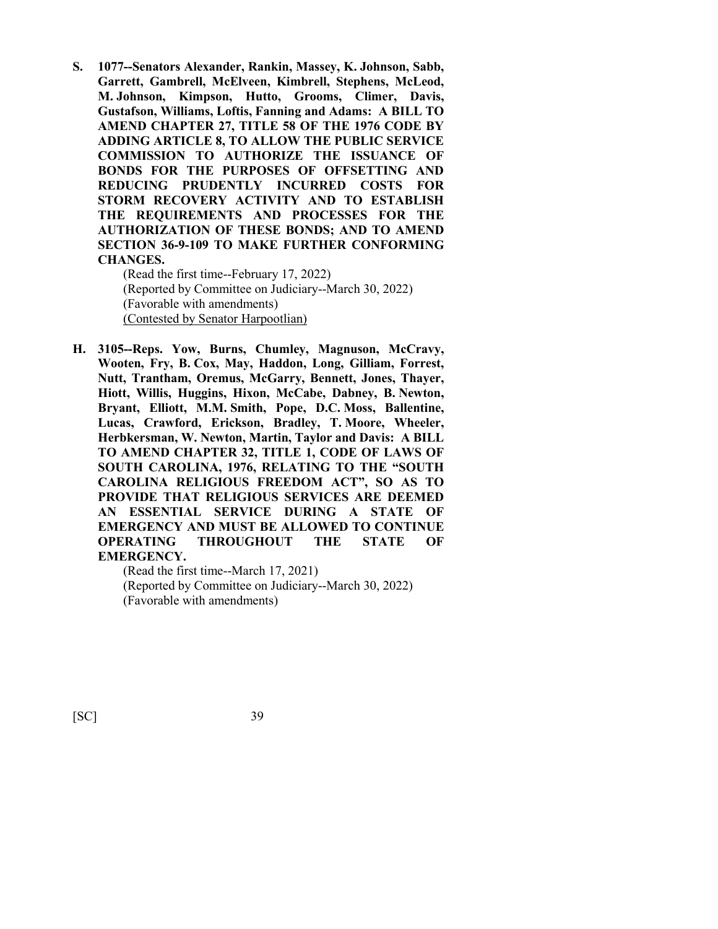**S. 1077--Senators Alexander, Rankin, Massey, K. Johnson, Sabb, Garrett, Gambrell, McElveen, Kimbrell, Stephens, McLeod, M. Johnson, Kimpson, Hutto, Grooms, Climer, Davis, Gustafson, Williams, Loftis, Fanning and Adams: A BILL TO AMEND CHAPTER 27, TITLE 58 OF THE 1976 CODE BY ADDING ARTICLE 8, TO ALLOW THE PUBLIC SERVICE COMMISSION TO AUTHORIZE THE ISSUANCE OF BONDS FOR THE PURPOSES OF OFFSETTING AND REDUCING PRUDENTLY INCURRED COSTS FOR STORM RECOVERY ACTIVITY AND TO ESTABLISH THE REQUIREMENTS AND PROCESSES FOR THE AUTHORIZATION OF THESE BONDS; AND TO AMEND SECTION 36-9-109 TO MAKE FURTHER CONFORMING CHANGES.**

(Read the first time--February 17, 2022) (Reported by Committee on Judiciary--March 30, 2022) (Favorable with amendments) (Contested by Senator Harpootlian)

**H. 3105--Reps. Yow, Burns, Chumley, Magnuson, McCravy, Wooten, Fry, B. Cox, May, Haddon, Long, Gilliam, Forrest, Nutt, Trantham, Oremus, McGarry, Bennett, Jones, Thayer, Hiott, Willis, Huggins, Hixon, McCabe, Dabney, B. Newton, Bryant, Elliott, M.M. Smith, Pope, D.C. Moss, Ballentine, Lucas, Crawford, Erickson, Bradley, T. Moore, Wheeler, Herbkersman, W. Newton, Martin, Taylor and Davis: A BILL TO AMEND CHAPTER 32, TITLE 1, CODE OF LAWS OF SOUTH CAROLINA, 1976, RELATING TO THE "SOUTH CAROLINA RELIGIOUS FREEDOM ACT", SO AS TO PROVIDE THAT RELIGIOUS SERVICES ARE DEEMED AN ESSENTIAL SERVICE DURING A STATE OF EMERGENCY AND MUST BE ALLOWED TO CONTINUE OPERATING THROUGHOUT THE STATE OF EMERGENCY.**

(Read the first time--March 17, 2021) (Reported by Committee on Judiciary--March 30, 2022) (Favorable with amendments)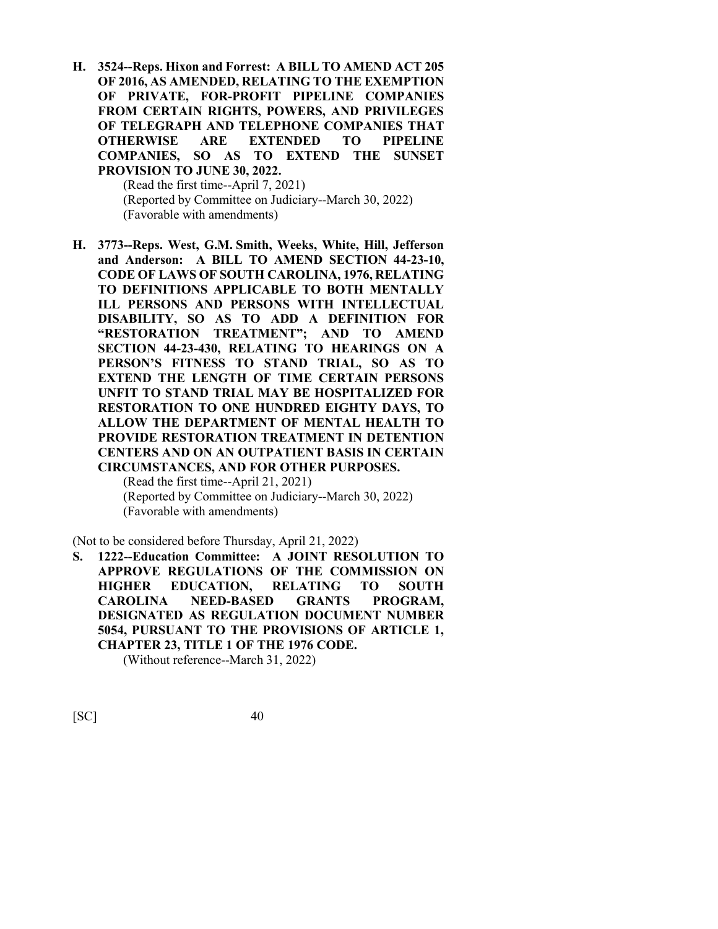**H. 3524--Reps. Hixon and Forrest: A BILL TO AMEND ACT 205 OF 2016, AS AMENDED, RELATING TO THE EXEMPTION OF PRIVATE, FOR-PROFIT PIPELINE COMPANIES FROM CERTAIN RIGHTS, POWERS, AND PRIVILEGES OF TELEGRAPH AND TELEPHONE COMPANIES THAT OTHERWISE ARE EXTENDED TO PIPELINE COMPANIES, SO AS TO EXTEND THE SUNSET PROVISION TO JUNE 30, 2022.**

(Read the first time--April 7, 2021) (Reported by Committee on Judiciary--March 30, 2022) (Favorable with amendments)

**H. 3773--Reps. West, G.M. Smith, Weeks, White, Hill, Jefferson and Anderson: A BILL TO AMEND SECTION 44-23-10, CODE OF LAWS OF SOUTH CAROLINA, 1976, RELATING TO DEFINITIONS APPLICABLE TO BOTH MENTALLY ILL PERSONS AND PERSONS WITH INTELLECTUAL DISABILITY, SO AS TO ADD A DEFINITION FOR "RESTORATION TREATMENT"; AND TO AMEND SECTION 44-23-430, RELATING TO HEARINGS ON A PERSON'S FITNESS TO STAND TRIAL, SO AS TO EXTEND THE LENGTH OF TIME CERTAIN PERSONS UNFIT TO STAND TRIAL MAY BE HOSPITALIZED FOR RESTORATION TO ONE HUNDRED EIGHTY DAYS, TO ALLOW THE DEPARTMENT OF MENTAL HEALTH TO PROVIDE RESTORATION TREATMENT IN DETENTION CENTERS AND ON AN OUTPATIENT BASIS IN CERTAIN CIRCUMSTANCES, AND FOR OTHER PURPOSES.**

(Read the first time--April 21, 2021) (Reported by Committee on Judiciary--March 30, 2022) (Favorable with amendments)

(Not to be considered before Thursday, April 21, 2022)

**S. 1222--Education Committee: A JOINT RESOLUTION TO APPROVE REGULATIONS OF THE COMMISSION ON HIGHER EDUCATION, RELATING TO SOUTH CAROLINA NEED-BASED GRANTS PROGRAM, DESIGNATED AS REGULATION DOCUMENT NUMBER 5054, PURSUANT TO THE PROVISIONS OF ARTICLE 1, CHAPTER 23, TITLE 1 OF THE 1976 CODE.**

(Without reference--March 31, 2022)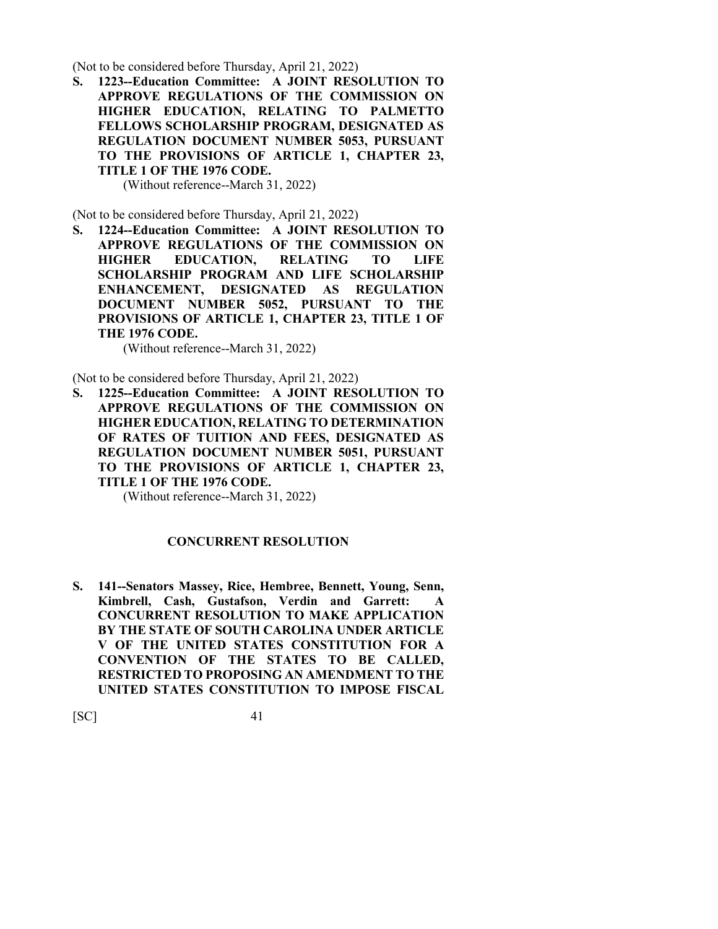(Not to be considered before Thursday, April 21, 2022)

**S. 1223--Education Committee: A JOINT RESOLUTION TO APPROVE REGULATIONS OF THE COMMISSION ON HIGHER EDUCATION, RELATING TO PALMETTO FELLOWS SCHOLARSHIP PROGRAM, DESIGNATED AS REGULATION DOCUMENT NUMBER 5053, PURSUANT TO THE PROVISIONS OF ARTICLE 1, CHAPTER 23, TITLE 1 OF THE 1976 CODE.**

(Without reference--March 31, 2022)

(Not to be considered before Thursday, April 21, 2022)

**S. 1224--Education Committee: A JOINT RESOLUTION TO APPROVE REGULATIONS OF THE COMMISSION ON HIGHER EDUCATION, RELATING TO LIFE SCHOLARSHIP PROGRAM AND LIFE SCHOLARSHIP ENHANCEMENT, DESIGNATED AS REGULATION DOCUMENT NUMBER 5052, PURSUANT TO THE PROVISIONS OF ARTICLE 1, CHAPTER 23, TITLE 1 OF THE 1976 CODE.**

(Without reference--March 31, 2022)

(Not to be considered before Thursday, April 21, 2022)

**S. 1225--Education Committee: A JOINT RESOLUTION TO APPROVE REGULATIONS OF THE COMMISSION ON HIGHER EDUCATION, RELATING TO DETERMINATION OF RATES OF TUITION AND FEES, DESIGNATED AS REGULATION DOCUMENT NUMBER 5051, PURSUANT TO THE PROVISIONS OF ARTICLE 1, CHAPTER 23, TITLE 1 OF THE 1976 CODE.**

(Without reference--March 31, 2022)

#### **CONCURRENT RESOLUTION**

**S. 141--Senators Massey, Rice, Hembree, Bennett, Young, Senn, Kimbrell, Cash, Gustafson, Verdin and Garrett: A CONCURRENT RESOLUTION TO MAKE APPLICATION BY THE STATE OF SOUTH CAROLINA UNDER ARTICLE V OF THE UNITED STATES CONSTITUTION FOR A CONVENTION OF THE STATES TO BE CALLED, RESTRICTED TO PROPOSING AN AMENDMENT TO THE UNITED STATES CONSTITUTION TO IMPOSE FISCAL**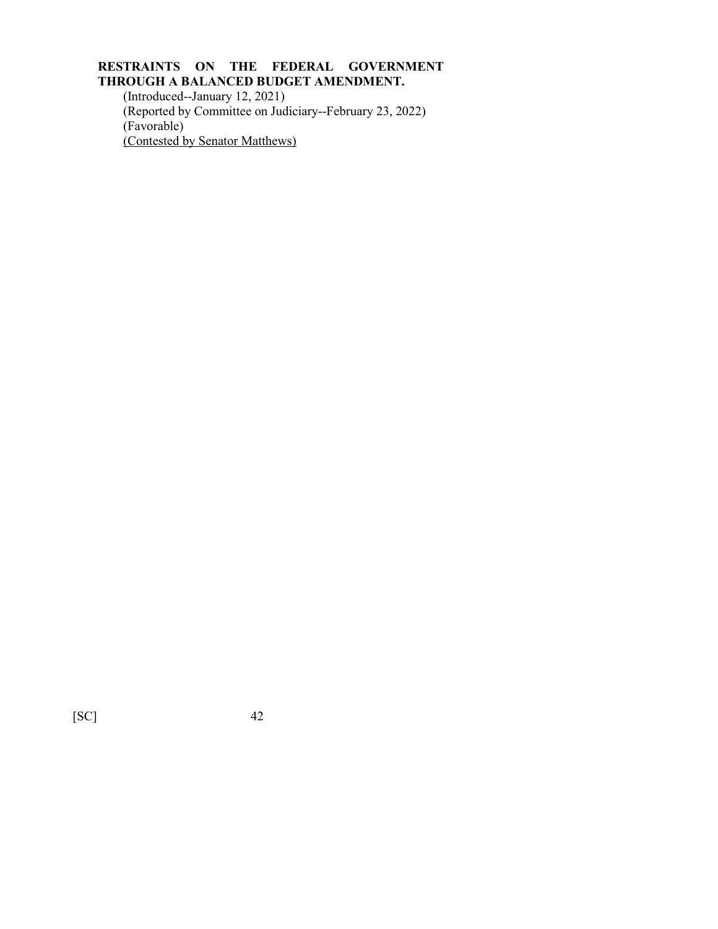# **RESTRAINTS ON THE FEDERAL GOVERNMENT THROUGH A BALANCED BUDGET AMENDMENT.**

(Introduced--January 12, 2021) (Reported by Committee on Judiciary--February 23, 2022) (Favorable) (Contested by Senator Matthews)